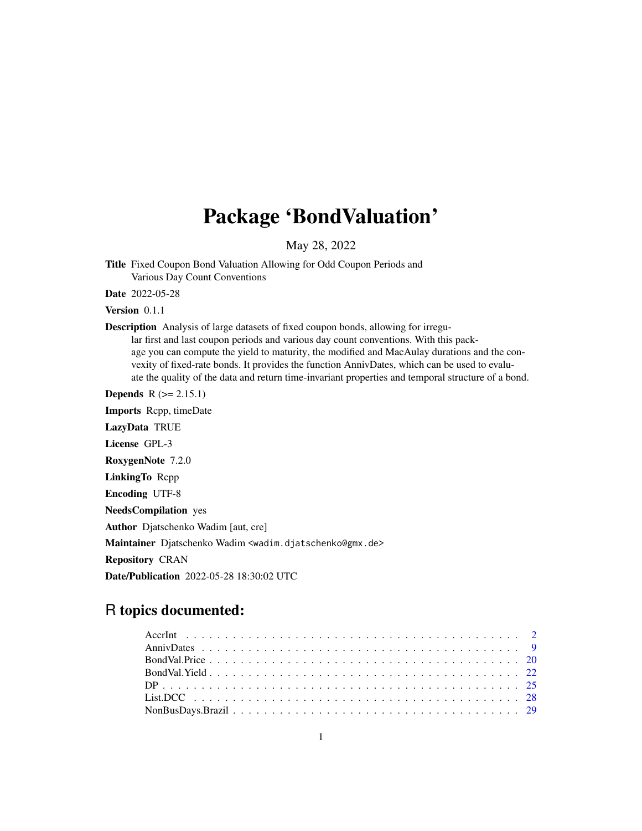## Package 'BondValuation'

May 28, 2022

Title Fixed Coupon Bond Valuation Allowing for Odd Coupon Periods and Various Day Count Conventions

Date 2022-05-28

Version 0.1.1

Description Analysis of large datasets of fixed coupon bonds, allowing for irregu-

lar first and last coupon periods and various day count conventions. With this package you can compute the yield to maturity, the modified and MacAulay durations and the convexity of fixed-rate bonds. It provides the function AnnivDates, which can be used to evaluate the quality of the data and return time-invariant properties and temporal structure of a bond.

**Depends**  $R$  ( $>= 2.15.1$ )

Imports Rcpp, timeDate LazyData TRUE License GPL-3

RoxygenNote 7.2.0

LinkingTo Rcpp

Encoding UTF-8

NeedsCompilation yes

Author Djatschenko Wadim [aut, cre]

Maintainer Djatschenko Wadim <wadim.djatschenko@gmx.de>

Repository CRAN

Date/Publication 2022-05-28 18:30:02 UTC

## R topics documented: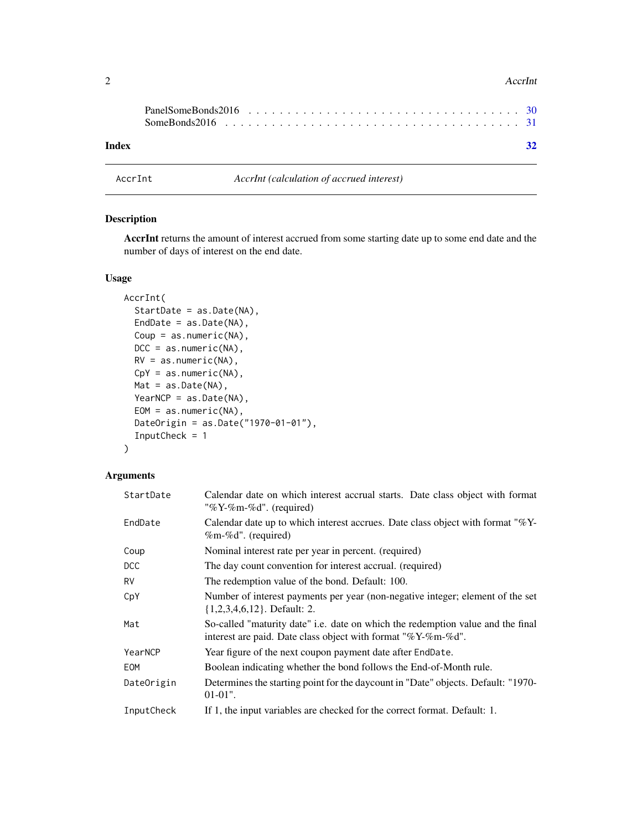<span id="page-1-0"></span>

|       | SomeBonds2016 $\ldots$ , $\ldots$ , $\ldots$ , $\ldots$ , $\ldots$ , $\ldots$ , $\ldots$ , $\ldots$ , $\ldots$ , $\ldots$ , $\ldots$ , $\frac{31}{21}$ |  |  |  |  |  |  |  |  |  |  |  |  |  |  |  |  |
|-------|--------------------------------------------------------------------------------------------------------------------------------------------------------|--|--|--|--|--|--|--|--|--|--|--|--|--|--|--|--|
| Index |                                                                                                                                                        |  |  |  |  |  |  |  |  |  |  |  |  |  |  |  |  |

AccrInt *AccrInt (calculation of accrued interest)*

#### Description

AccrInt returns the amount of interest accrued from some starting date up to some end date and the number of days of interest on the end date.

#### Usage

```
AccrInt(
  StartDate = as.Date(NA),
 EndDate = as.Date(NA),
 Coup = as.numeric(NA),
 DCC = as.numeric(NA),RV = as.numeric(NA),
 CpY = as.numeric(NA),
 Mat = as.Date(NA),
 YearNCP = as.Date(NA),
 EOM = as.numeric(NA),DateOrigin = as.Date("1970-01-01"),
  InputCheck = 1
)
```
#### Arguments

| StartDate  | Calendar date on which interest accrual starts. Date class object with format<br>"%Y-%m-%d". (required)                                         |  |  |  |  |  |  |
|------------|-------------------------------------------------------------------------------------------------------------------------------------------------|--|--|--|--|--|--|
| EndDate    | Calendar date up to which interest accrues. Date class object with format "%Y-<br>$%m-\%d$ ". (required)                                        |  |  |  |  |  |  |
| Coup       | Nominal interest rate per year in percent. (required)                                                                                           |  |  |  |  |  |  |
| DCC        | The day count convention for interest accrual. (required)                                                                                       |  |  |  |  |  |  |
| <b>RV</b>  | The redemption value of the bond. Default: 100.                                                                                                 |  |  |  |  |  |  |
| CpY        | Number of interest payments per year (non-negative integer; element of the set<br>$\{1,2,3,4,6,12\}$ . Default: 2.                              |  |  |  |  |  |  |
| Mat        | So-called "maturity date" i.e. date on which the redemption value and the final<br>interest are paid. Date class object with format "%Y-%m-%d". |  |  |  |  |  |  |
| YearNCP    | Year figure of the next coupon payment date after EndDate.                                                                                      |  |  |  |  |  |  |
| EOM        | Boolean indicating whether the bond follows the End-of-Month rule.                                                                              |  |  |  |  |  |  |
| DateOrigin | Determines the starting point for the daycount in "Date" objects. Default: "1970-<br>$01-01$ ".                                                 |  |  |  |  |  |  |
| InputCheck | If 1, the input variables are checked for the correct format. Default: 1.                                                                       |  |  |  |  |  |  |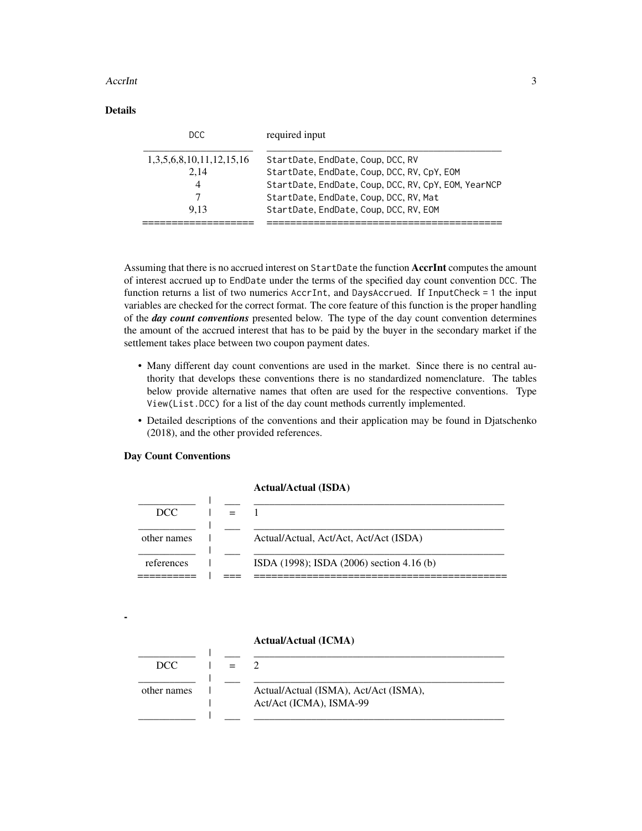## Details

| DCC.                     | required input                                       |
|--------------------------|------------------------------------------------------|
| 1,3,5,6,8,10,11,12,15,16 | StartDate, EndDate, Coup, DCC, RV                    |
| 2.14                     | StartDate, EndDate, Coup, DCC, RV, CpY, EOM          |
|                          | StartDate, EndDate, Coup, DCC, RV, CpY, EOM, YearNCP |
|                          | StartDate, EndDate, Coup, DCC, RV, Mat               |
| 9.13                     | StartDate, EndDate, Coup, DCC, RV, EOM               |
|                          |                                                      |

Assuming that there is no accrued interest on StartDate the function AccrInt computes the amount of interest accrued up to EndDate under the terms of the specified day count convention DCC. The function returns a list of two numerics AccrInt, and DaysAccrued. If InputCheck = 1 the input variables are checked for the correct format. The core feature of this function is the proper handling of the *day count conventions* presented below. The type of the day count convention determines the amount of the accrued interest that has to be paid by the buyer in the secondary market if the settlement takes place between two coupon payment dates.

- Many different day count conventions are used in the market. Since there is no central authority that develops these conventions there is no standardized nomenclature. The tables below provide alternative names that often are used for the respective conventions. Type View(List.DCC) for a list of the day count methods currently implemented.
- Detailed descriptions of the conventions and their application may be found in Djatschenko (2018), and the other provided references.

#### Day Count Conventions

-

#### Actual/Actual (ISDA)

| DCC.        |                                           |
|-------------|-------------------------------------------|
| other names | Actual/Actual, Act/Act, Act/Act (ISDA)    |
| references  | ISDA (1998); ISDA (2006) section 4.16 (b) |

#### Actual/Actual (ICMA)

| DCC.        |  |                                       |
|-------------|--|---------------------------------------|
|             |  |                                       |
| other names |  | Actual/Actual (ISMA), Act/Act (ISMA), |
|             |  | Act/Act (ICMA), ISMA-99               |
|             |  |                                       |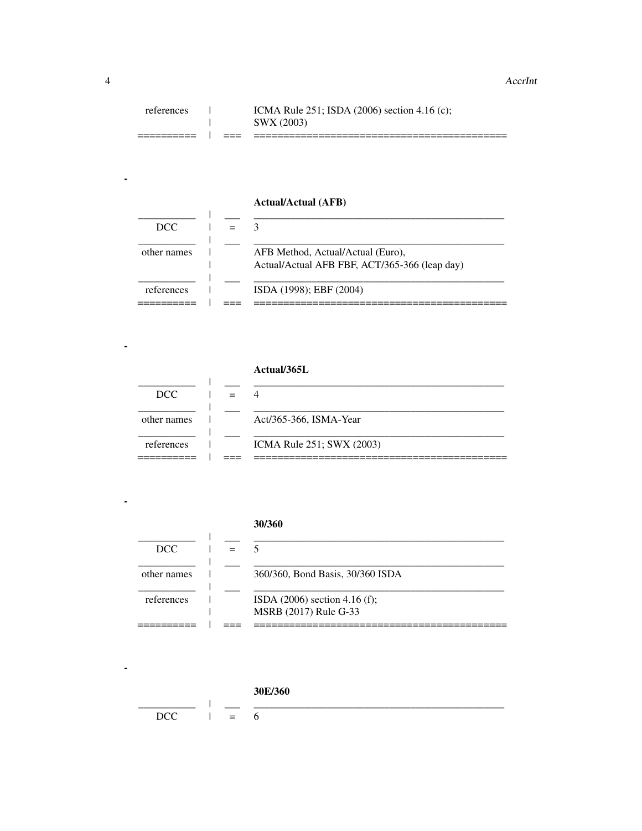|            | ____ |                                                 |
|------------|------|-------------------------------------------------|
|            |      | SWX (2003)                                      |
| references |      | ICMA Rule $251$ ; ISDA (2006) section 4.16 (c); |

## **Actual/Actual (AFB)**

| DCC.        |  |                                                                                    |
|-------------|--|------------------------------------------------------------------------------------|
| other names |  | AFB Method, Actual/Actual (Euro),<br>Actual/Actual AFB FBF, ACT/365-366 (leap day) |
| references  |  | ISDA (1998); EBF (2004)                                                            |

## Actual/365L

| DCC.        |  |                           |
|-------------|--|---------------------------|
| other names |  | Act/365-366, ISMA-Year    |
| references  |  | ICMA Rule 251; SWX (2003) |

#### 30/360

|             |  | MSRB (2017) Rule G-33            |
|-------------|--|----------------------------------|
| references  |  | ISDA $(2006)$ section 4.16 (f);  |
| other names |  | 360/360, Bond Basis, 30/360 ISDA |
| DCC.        |  |                                  |

## 30E/360

| n y s |  |  |
|-------|--|--|

 $\blacksquare$ 

 $\mathcal{L}_{\mathcal{A}}$ 

 $\mathbb{Z}^2$ 

 $\blacksquare$ 

 $\overline{a}$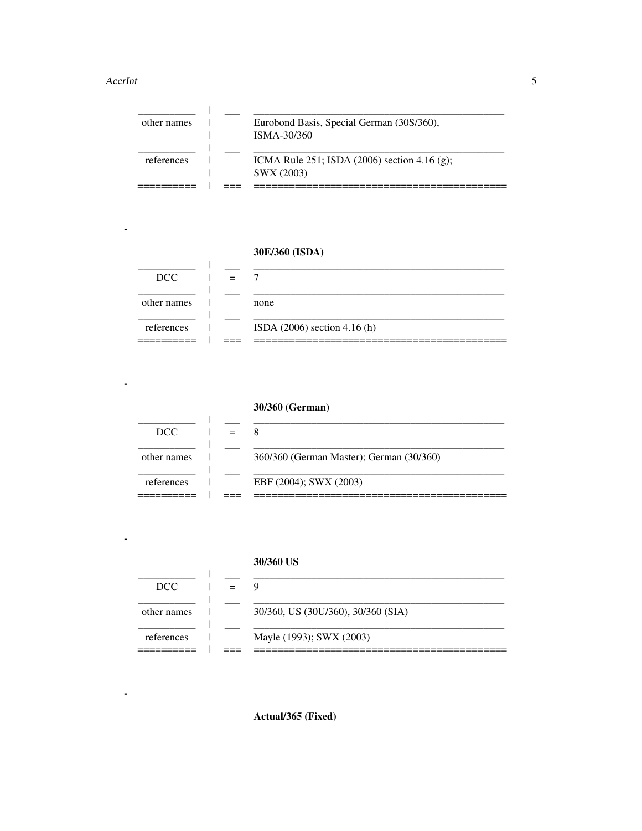L.

 $\blacksquare$ 

 $\blacksquare$ 

 $\blacksquare$ 

| other names | Eurobond Basis, Special German (30S/360),<br>ISMA-30/360        |
|-------------|-----------------------------------------------------------------|
| references  | ICMA Rule 251; ISDA $(2006)$ section 4.16 $(g)$ ;<br>SWX (2003) |
|             |                                                                 |

## 30E/360 (ISDA)

 $\mathbf{I}$ 

 $\mathbf{I}$ 

| DCC.        |                                |
|-------------|--------------------------------|
| other names | none                           |
| references  | ISDA $(2006)$ section 4.16 (h) |

## 30/360 (German)

| DCC.        |                                          |
|-------------|------------------------------------------|
| other names | 360/360 (German Master); German (30/360) |
| references  | EBF (2004); SWX (2003)                   |

## 30/360 US

| DCC.        |                                    |
|-------------|------------------------------------|
| other names | 30/360, US (30U/360), 30/360 (SIA) |
| references  | Mayle (1993); SWX (2003)           |

Actual/365 (Fixed)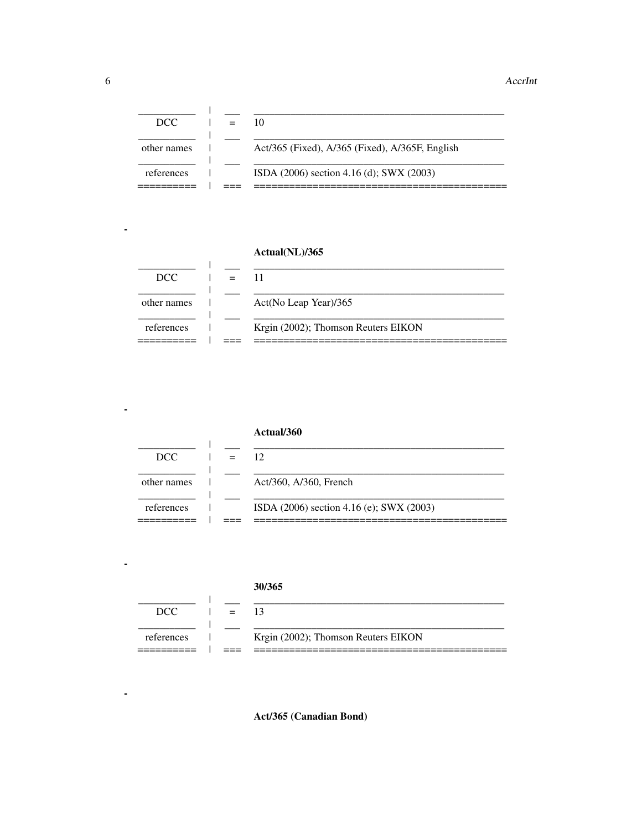| DCC.        |  |                                                 |
|-------------|--|-------------------------------------------------|
| other names |  | Act/365 (Fixed), A/365 (Fixed), A/365F, English |
| references  |  | ISDA (2006) section 4.16 (d); SWX (2003)        |

## Actual(NL)/365

 $\mathbf{I}$ 

| DCC.        |                                     |
|-------------|-------------------------------------|
| other names | Act(No Leap Year)/365               |
| references  | Krgin (2002); Thomson Reuters EIKON |

|             | Actual/360                               |
|-------------|------------------------------------------|
| DCC.        | 12                                       |
| other names | Act/360, A/360, French                   |
| references  | ISDA (2006) section 4.16 (e); SWX (2003) |

## 30/365

| DCC        | $=$ |                                     |
|------------|-----|-------------------------------------|
| references |     | Krgin (2002); Thomson Reuters EIKON |

Act/365 (Canadian Bond)

 $\mathbf{r}$ 

 $\blacksquare$ 

ä,

 $\blacksquare$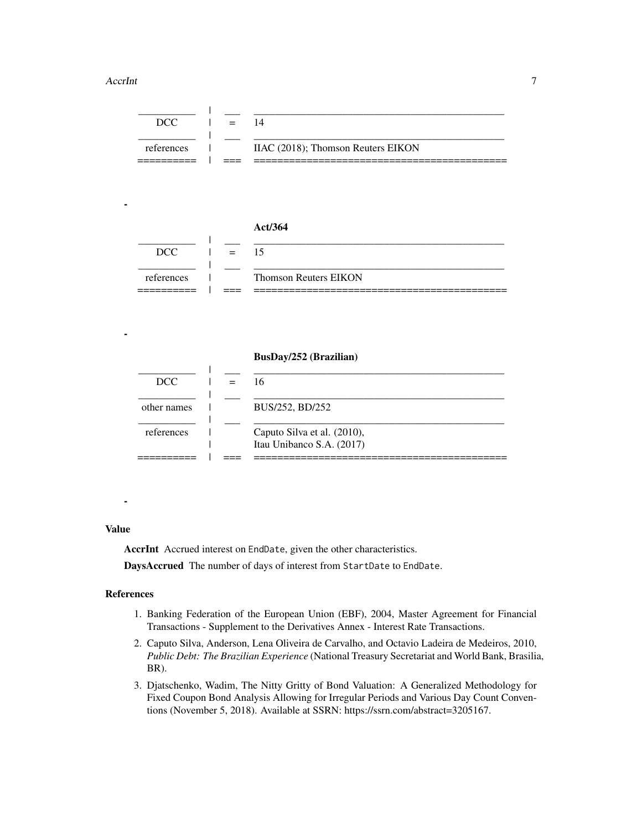-

-

| ' ז' זרו   | $\qquad \qquad \blacksquare$ |                                    |
|------------|------------------------------|------------------------------------|
|            |                              |                                    |
| references |                              | IIAC (2018); Thomson Reuters EIKON |
|            |                              |                                    |

#### Act/364

| DCC        | $=$ |                              |
|------------|-----|------------------------------|
|            |     |                              |
| references |     | <b>Thomson Reuters EIKON</b> |
|            |     |                              |

#### BusDay/252 (Brazilian)

| DCC.        |  | 16                                                       |
|-------------|--|----------------------------------------------------------|
| other names |  | BUS/252, BD/252                                          |
| references  |  | Caputo Silva et al. (2010),<br>Itau Unibanco S.A. (2017) |
|             |  |                                                          |

## -

#### Value

AccrInt Accrued interest on EndDate, given the other characteristics.

DaysAccrued The number of days of interest from StartDate to EndDate.

#### References

- 1. Banking Federation of the European Union (EBF), 2004, Master Agreement for Financial Transactions - Supplement to the Derivatives Annex - Interest Rate Transactions.
- 2. Caputo Silva, Anderson, Lena Oliveira de Carvalho, and Octavio Ladeira de Medeiros, 2010, *Public Debt: The Brazilian Experience* (National Treasury Secretariat and World Bank, Brasilia, BR).
- 3. Djatschenko, Wadim, The Nitty Gritty of Bond Valuation: A Generalized Methodology for Fixed Coupon Bond Analysis Allowing for Irregular Periods and Various Day Count Conventions (November 5, 2018). Available at SSRN: https://ssrn.com/abstract=3205167.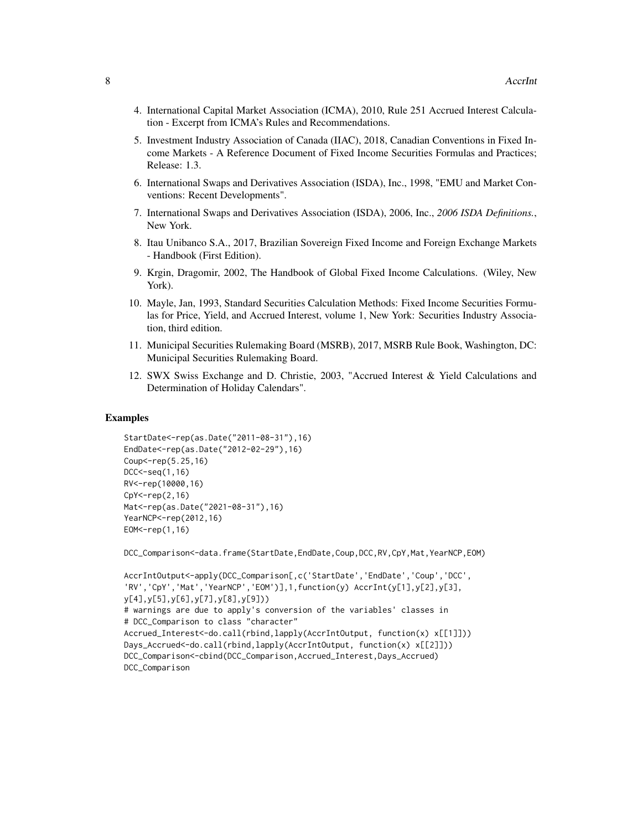- 4. International Capital Market Association (ICMA), 2010, Rule 251 Accrued Interest Calculation - Excerpt from ICMA's Rules and Recommendations.
- 5. Investment Industry Association of Canada (IIAC), 2018, Canadian Conventions in Fixed Income Markets - A Reference Document of Fixed Income Securities Formulas and Practices; Release: 1.3.
- 6. International Swaps and Derivatives Association (ISDA), Inc., 1998, "EMU and Market Conventions: Recent Developments".
- 7. International Swaps and Derivatives Association (ISDA), 2006, Inc., *2006 ISDA Definitions.*, New York.
- 8. Itau Unibanco S.A., 2017, Brazilian Sovereign Fixed Income and Foreign Exchange Markets - Handbook (First Edition).
- 9. Krgin, Dragomir, 2002, The Handbook of Global Fixed Income Calculations. (Wiley, New York).
- 10. Mayle, Jan, 1993, Standard Securities Calculation Methods: Fixed Income Securities Formulas for Price, Yield, and Accrued Interest, volume 1, New York: Securities Industry Association, third edition.
- 11. Municipal Securities Rulemaking Board (MSRB), 2017, MSRB Rule Book, Washington, DC: Municipal Securities Rulemaking Board.
- 12. SWX Swiss Exchange and D. Christie, 2003, "Accrued Interest & Yield Calculations and Determination of Holiday Calendars".

#### Examples

```
StartDate<-rep(as.Date("2011-08-31"),16)
EndDate<-rep(as.Date("2012-02-29"),16)
Coup <- rep(5.25,16)
DCC<-seq(1,16)
RV<-rep(10000,16)
CpY<-rep(2,16)
Mat<-rep(as.Date("2021-08-31"),16)
YearNCP<-rep(2012,16)
EOM<-rep(1,16)
```
DCC\_Comparison<-data.frame(StartDate,EndDate,Coup,DCC,RV,CpY,Mat,YearNCP,EOM)

```
AccrIntOutput<-apply(DCC_Comparison[,c('StartDate','EndDate','Coup','DCC',
'RV','CpY','Mat','YearNCP','EOM')],1,function(y) AccrInt(y[1],y[2],y[3],
y[4],y[5],y[6],y[7],y[8],y[9]))
# warnings are due to apply's conversion of the variables' classes in
# DCC_Comparison to class "character"
Accrued_Interest<-do.call(rbind,lapply(AccrIntOutput, function(x) x[[1]]))
Days_Accrued<-do.call(rbind,lapply(AccrIntOutput, function(x) x[[2]]))
DCC_Comparison<-cbind(DCC_Comparison,Accrued_Interest,Days_Accrued)
DCC_Comparison
```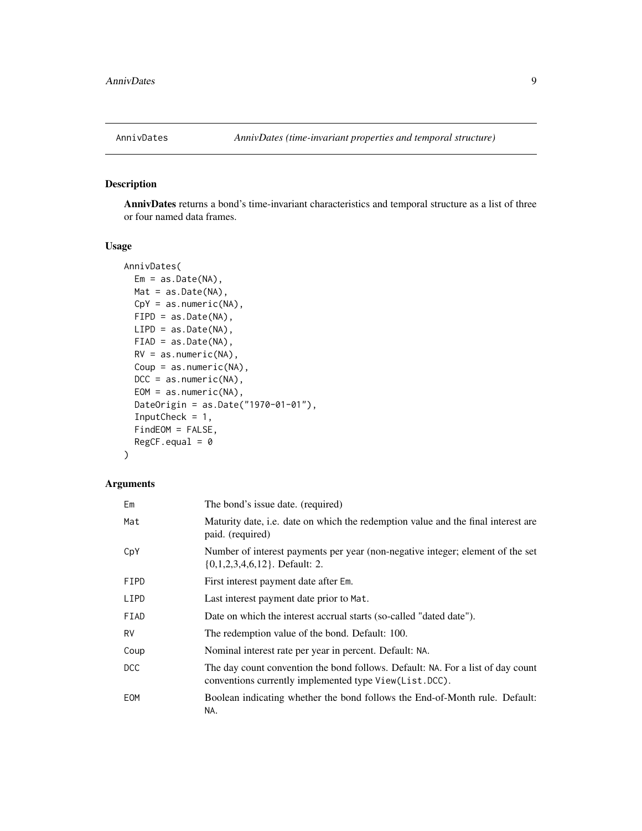<span id="page-8-0"></span>

## Description

AnnivDates returns a bond's time-invariant characteristics and temporal structure as a list of three or four named data frames.

#### Usage

```
AnnivDates(
 Em = as.Date(NA),Mat = as.Date(NA),
 CpY = as.numeric(NA),FIPD = as.Date(NA),
 LIPD = as.Date(NA),
 FIAD = as.Date(NA),
 RV = as.numeric(NA),
 Coup = as.numeric(NA),
 DCC = as.numeric(NA),EOM = as.numeric(NA),
 DateOrigin = as.Date("1970-01-01"),
  InputCheck = 1,
  FindEOM = FALSE,
 RegCF.equals = 0)
```
## Arguments

| Em   | The bond's issue date. (required)                                                                                                         |
|------|-------------------------------------------------------------------------------------------------------------------------------------------|
| Mat  | Maturity date, i.e. date on which the redemption value and the final interest are<br>paid. (required)                                     |
| CpY  | Number of interest payments per year (non-negative integer; element of the set<br>$\{0,1,2,3,4,6,12\}$ . Default: 2.                      |
| FIPD | First interest payment date after Em.                                                                                                     |
| LIPD | Last interest payment date prior to Mat.                                                                                                  |
| FIAD | Date on which the interest accrual starts (so-called "dated date").                                                                       |
| RV   | The redemption value of the bond. Default: 100.                                                                                           |
| Coup | Nominal interest rate per year in percent. Default: NA.                                                                                   |
| DCC  | The day count convention the bond follows. Default: NA. For a list of day count<br>conventions currently implemented type View(List.DCC). |
| EOM  | Boolean indicating whether the bond follows the End-of-Month rule. Default:<br>NA.                                                        |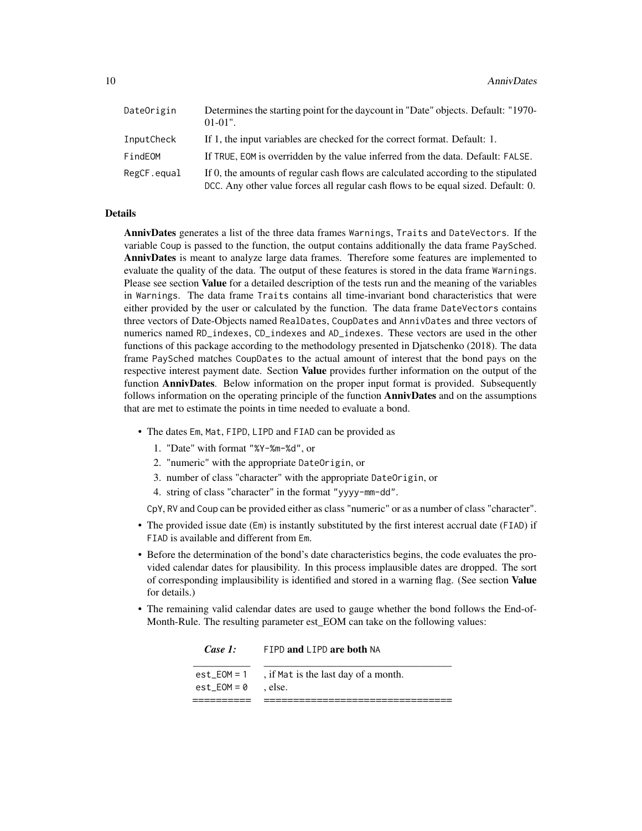| DateOrigin  | Determines the starting point for the day count in "Date" objects. Default: "1970-<br>$01-01$ ".                                                                        |
|-------------|-------------------------------------------------------------------------------------------------------------------------------------------------------------------------|
| InputCheck  | If 1, the input variables are checked for the correct format. Default: 1.                                                                                               |
| FindEOM     | If TRUE, EOM is overridden by the value inferred from the data. Default: FALSE.                                                                                         |
| RegCF.equal | If 0, the amounts of regular cash flows are calculated according to the stipulated<br>DCC. Any other value forces all regular cash flows to be equal sized. Default: 0. |

#### Details

AnnivDates generates a list of the three data frames Warnings, Traits and DateVectors. If the variable Coup is passed to the function, the output contains additionally the data frame PaySched. AnnivDates is meant to analyze large data frames. Therefore some features are implemented to evaluate the quality of the data. The output of these features is stored in the data frame Warnings. Please see section Value for a detailed description of the tests run and the meaning of the variables in Warnings. The data frame Traits contains all time-invariant bond characteristics that were either provided by the user or calculated by the function. The data frame DateVectors contains three vectors of Date-Objects named RealDates, CoupDates and AnnivDates and three vectors of numerics named RD\_indexes, CD\_indexes and AD\_indexes. These vectors are used in the other functions of this package according to the methodology presented in Djatschenko (2018). The data frame PaySched matches CoupDates to the actual amount of interest that the bond pays on the respective interest payment date. Section **Value** provides further information on the output of the function **AnnivDates**. Below information on the proper input format is provided. Subsequently follows information on the operating principle of the function **AnnivDates** and on the assumptions that are met to estimate the points in time needed to evaluate a bond.

- The dates Em, Mat, FIPD, LIPD and FIAD can be provided as
	- 1. "Date" with format "%Y-%m-%d", or
	- 2. "numeric" with the appropriate DateOrigin, or
	- 3. number of class "character" with the appropriate DateOrigin, or
	- 4. string of class "character" in the format "yyyy-mm-dd".

CpY, RV and Coup can be provided either as class "numeric" or as a number of class "character".

- The provided issue date (Em) is instantly substituted by the first interest accrual date (FIAD) if FIAD is available and different from Em.
- Before the determination of the bond's date characteristics begins, the code evaluates the provided calendar dates for plausibility. In this process implausible dates are dropped. The sort of corresponding implausibility is identified and stored in a warning flag. (See section Value for details.)
- The remaining valid calendar dates are used to gauge whether the bond follows the End-of-Month-Rule. The resulting parameter est\_EOM can take on the following values:

| Case 1:                      | FIPD and LIPD are both NA                     |
|------------------------------|-----------------------------------------------|
| est EOM = 1<br>est $EOM = 0$ | , if Mat is the last day of a month.<br>else. |
|                              |                                               |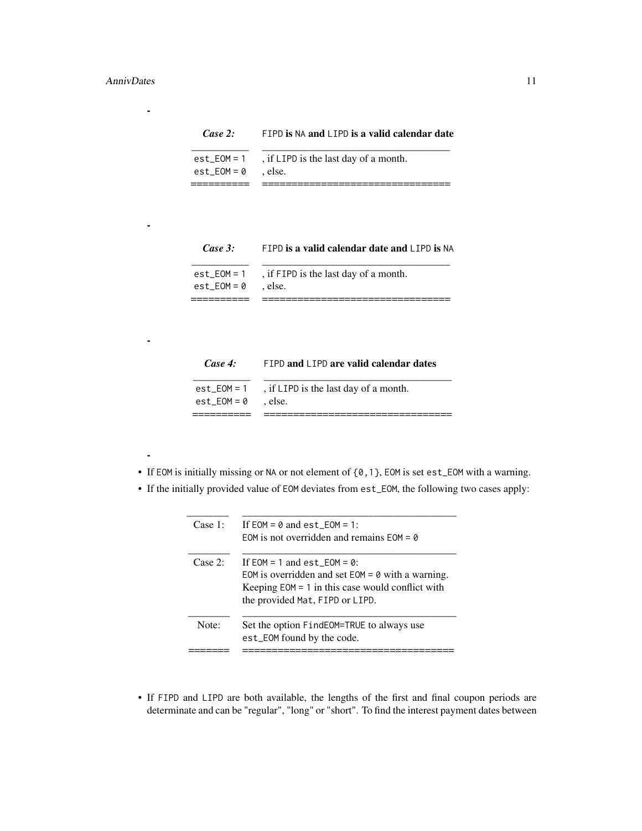-

-

-

-

## *Case 2:* FIPD is NA and LIPD is a valid calendar date

|                       | $est\_EOM = 1$ , if $LIPD$ is the last day of a month. |
|-----------------------|--------------------------------------------------------|
| $est EOM = 0$ . else. |                                                        |
|                       |                                                        |

## *Case 3:* FIPD is a valid calendar date and LIPD is NA

|                       | $est\_EOM = 1$ , if FIPD is the last day of a month. |
|-----------------------|------------------------------------------------------|
| $est EOM = 0$ . else. |                                                      |
|                       |                                                      |

| Case 4: |  |  |  |  |  | FIPD and LIPD are valid calendar dates |  |
|---------|--|--|--|--|--|----------------------------------------|--|
|---------|--|--|--|--|--|----------------------------------------|--|

| est $EOM = 0$ | $est\_EOM = 1$ , if $LIPD$ is the last day of a month.<br>else. |
|---------------|-----------------------------------------------------------------|
|               |                                                                 |

- If EOM is initially missing or NA or not element of {0,1}, EOM is set est\_EOM with a warning.
- If the initially provided value of EOM deviates from est\_EOM, the following two cases apply:

| Case 1: | If $EOM = \emptyset$ and est $EOM = 1$ :            |
|---------|-----------------------------------------------------|
|         | EOM is not overridden and remains $FOM = \emptyset$ |
| Case 2: | If $EOM = 1$ and est $EOM = 0$ :                    |
|         | EOM is overridden and set $EOM = 0$ with a warning. |
|         | Keeping $EOM = 1$ in this case would conflict with  |
|         | the provided Mat, FIPD or LIPD.                     |
| Note:   | Set the option FindEOM=TRUE to always use           |
|         | est_EOM found by the code.                          |
|         |                                                     |

• If FIPD and LIPD are both available, the lengths of the first and final coupon periods are determinate and can be "regular", "long" or "short". To find the interest payment dates between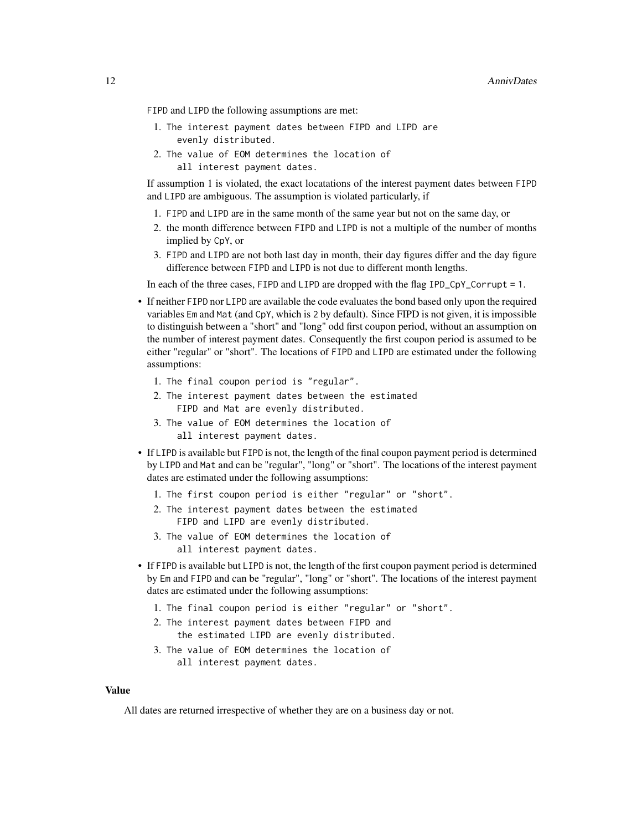FIPD and LIPD the following assumptions are met:

- 1. The interest payment dates between FIPD and LIPD are evenly distributed.
- 2. The value of EOM determines the location of all interest payment dates.

If assumption 1 is violated, the exact locatations of the interest payment dates between FIPD and LIPD are ambiguous. The assumption is violated particularly, if

- 1. FIPD and LIPD are in the same month of the same year but not on the same day, or
- 2. the month difference between FIPD and LIPD is not a multiple of the number of months implied by CpY, or
- 3. FIPD and LIPD are not both last day in month, their day figures differ and the day figure difference between FIPD and LIPD is not due to different month lengths.

In each of the three cases, FIPD and LIPD are dropped with the flag IPD\_CpY\_Corrupt = 1.

- If neither FIPD nor LIPD are available the code evaluates the bond based only upon the required variables Em and Mat (and CpY, which is 2 by default). Since FIPD is not given, it is impossible to distinguish between a "short" and "long" odd first coupon period, without an assumption on the number of interest payment dates. Consequently the first coupon period is assumed to be either "regular" or "short". The locations of FIPD and LIPD are estimated under the following assumptions:
	- 1. The final coupon period is "regular".
	- 2. The interest payment dates between the estimated FIPD and Mat are evenly distributed.
	- 3. The value of EOM determines the location of all interest payment dates.
- If LIPD is available but FIPD is not, the length of the final coupon payment period is determined by LIPD and Mat and can be "regular", "long" or "short". The locations of the interest payment dates are estimated under the following assumptions:
	- 1. The first coupon period is either "regular" or "short".
	- 2. The interest payment dates between the estimated FIPD and LIPD are evenly distributed.
	- 3. The value of EOM determines the location of all interest payment dates.
- If FIPD is available but LIPD is not, the length of the first coupon payment period is determined by Em and FIPD and can be "regular", "long" or "short". The locations of the interest payment dates are estimated under the following assumptions:
	- 1. The final coupon period is either "regular" or "short".
	- 2. The interest payment dates between FIPD and the estimated LIPD are evenly distributed.
	- 3. The value of EOM determines the location of all interest payment dates.

#### Value

All dates are returned irrespective of whether they are on a business day or not.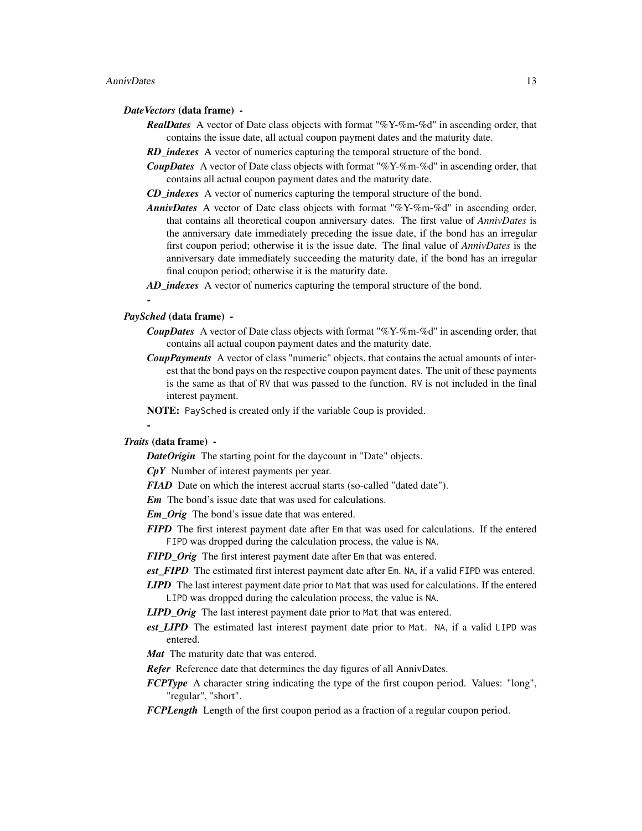#### *DateVectors* (data frame) -

- *RealDates* A vector of Date class objects with format "%Y-%m-%d" in ascending order, that contains the issue date, all actual coupon payment dates and the maturity date.
- *RD* indexes A vector of numerics capturing the temporal structure of the bond.
- *CoupDates* A vector of Date class objects with format "%Y-%m-%d" in ascending order, that contains all actual coupon payment dates and the maturity date.
- *CD\_indexes* A vector of numerics capturing the temporal structure of the bond.
- *AnnivDates* A vector of Date class objects with format "%Y-%m-%d" in ascending order, that contains all theoretical coupon anniversary dates. The first value of *AnnivDates* is the anniversary date immediately preceding the issue date, if the bond has an irregular first coupon period; otherwise it is the issue date. The final value of *AnnivDates* is the anniversary date immediately succeeding the maturity date, if the bond has an irregular final coupon period; otherwise it is the maturity date.
- *AD\_indexes* A vector of numerics capturing the temporal structure of the bond.

#### *PaySched* (data frame) -

-

- *CoupDates* A vector of Date class objects with format "%Y-%m-%d" in ascending order, that contains all actual coupon payment dates and the maturity date.
- *CoupPayments* A vector of class "numeric" objects, that contains the actual amounts of interest that the bond pays on the respective coupon payment dates. The unit of these payments is the same as that of RV that was passed to the function. RV is not included in the final interest payment.
- NOTE: PaySched is created only if the variable Coup is provided.

#### *Traits* (data frame) -

-

- *DateOrigin* The starting point for the daycount in "Date" objects.
- *CpY* Number of interest payments per year.
- *FIAD* Date on which the interest accrual starts (so-called "dated date").
- *Em* The bond's issue date that was used for calculations.
- *Em\_Orig* The bond's issue date that was entered.
- *FIPD* The first interest payment date after Em that was used for calculations. If the entered FIPD was dropped during the calculation process, the value is NA.
- *FIPD* Orig The first interest payment date after Em that was entered.
- *est\_FIPD* The estimated first interest payment date after Em. NA, if a valid FIPD was entered.
- *LIPD* The last interest payment date prior to Mat that was used for calculations. If the entered LIPD was dropped during the calculation process, the value is NA.
- *LIPD\_Orig* The last interest payment date prior to Mat that was entered.
- *est\_LIPD* The estimated last interest payment date prior to Mat. NA, if a valid LIPD was entered.
- *Mat* The maturity date that was entered.
- *Refer* Reference date that determines the day figures of all AnnivDates.
- *FCPType* A character string indicating the type of the first coupon period. Values: "long", "regular", "short".
- *FCPLength* Length of the first coupon period as a fraction of a regular coupon period.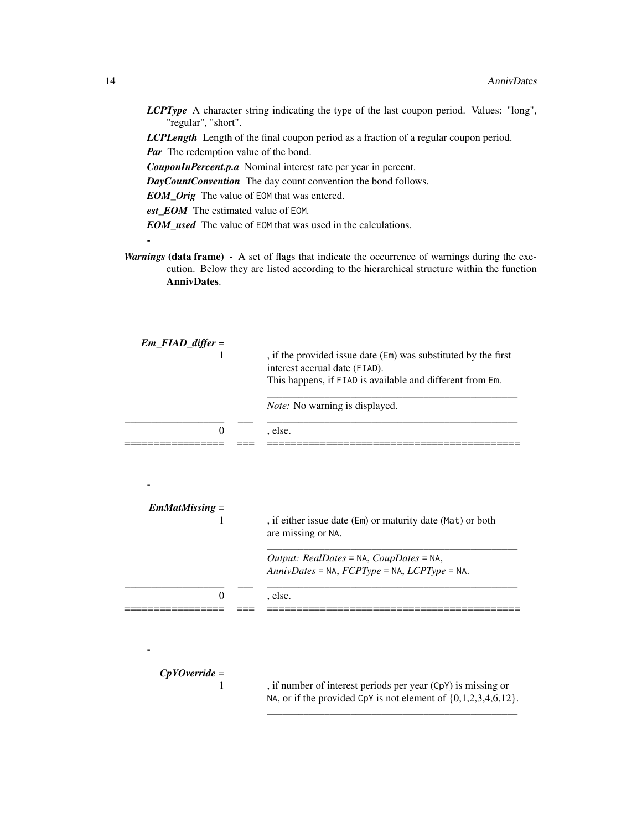*LCPType* A character string indicating the type of the last coupon period. Values: "long", "regular", "short".

*LCPLength* Length of the final coupon period as a fraction of a regular coupon period. *Par* The redemption value of the bond.

*CouponInPercent.p.a* Nominal interest rate per year in percent.

*DayCountConvention* The day count convention the bond follows.

*EOM\_Orig* The value of EOM that was entered.

*est\_EOM* The estimated value of EOM.

*EOM\_used* The value of EOM that was used in the calculations.

*Warnings* (data frame) - A set of flags that indicate the occurrence of warnings during the execution. Below they are listed according to the hierarchical structure within the function AnnivDates.

| $Em$ <sub>-FIAD</sub> _differ = |                                                                                                                                     |
|---------------------------------|-------------------------------------------------------------------------------------------------------------------------------------|
|                                 | , if the provided issue date (Em) was substituted by the first                                                                      |
|                                 | interest accrual date (FIAD).                                                                                                       |
|                                 | This happens, if FIAD is available and different from Em.                                                                           |
|                                 | Note: No warning is displayed.                                                                                                      |
| 0                               | , else.                                                                                                                             |
|                                 |                                                                                                                                     |
|                                 |                                                                                                                                     |
| $EmMatMissing =$                |                                                                                                                                     |
|                                 | , if either issue date (Em) or maturity date (Mat) or both<br>are missing or NA.                                                    |
|                                 | Output: RealDates = NA, CoupDates = NA,                                                                                             |
|                                 | $AnnivDates = NA, FCPType = NA, LCPType = NA.$                                                                                      |
|                                 |                                                                                                                                     |
| $\theta$                        | , else.                                                                                                                             |
|                                 |                                                                                                                                     |
|                                 |                                                                                                                                     |
|                                 |                                                                                                                                     |
| $CpYOverride =$                 |                                                                                                                                     |
| 1                               | , if number of interest periods per year (CpY) is missing or<br>NA, or if the provided CpY is not element of $\{0,1,2,3,4,6,12\}$ . |

\_\_\_\_\_\_\_\_\_\_\_\_\_\_\_\_\_\_\_\_\_\_\_\_\_\_\_\_\_\_\_\_\_\_\_\_\_\_\_\_\_\_\_\_\_\_\_\_

-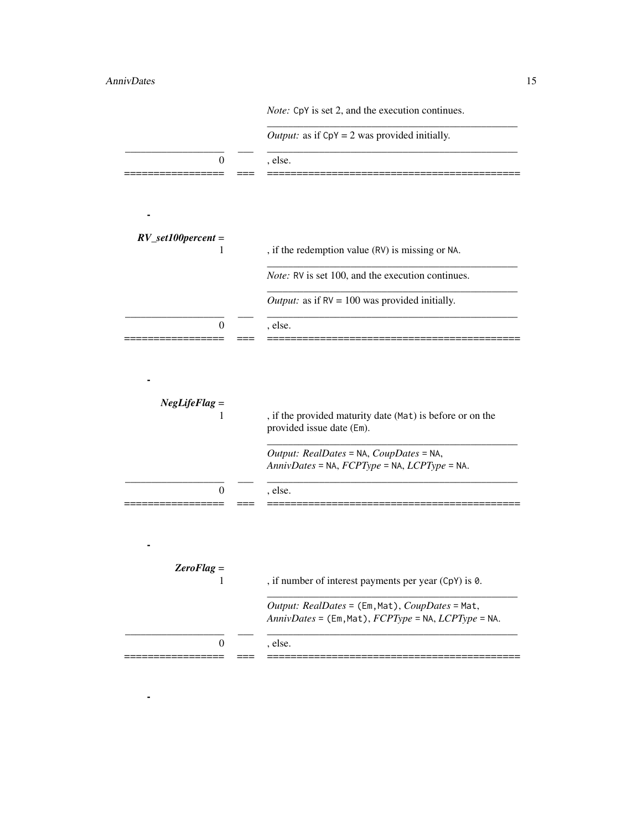## AnnivDates 15

-

|                             | <i>Output:</i> as if $CpY = 2$ was provided initially.                                                 |
|-----------------------------|--------------------------------------------------------------------------------------------------------|
| $\overline{0}$              | , else.                                                                                                |
|                             |                                                                                                        |
| $RV\_set100 percent =$<br>1 | , if the redemption value (RV) is missing or NA.                                                       |
|                             | <i>Note:</i> RV is set 100, and the execution continues.                                               |
|                             | <i>Output:</i> as if $RV = 100$ was provided initially.                                                |
| $\Omega$                    | , else.                                                                                                |
| $NegLifeFlag =$<br>1        | , if the provided maturity date (Mat) is before or on the                                              |
|                             | provided issue date (Em).                                                                              |
| 0                           | Output: RealDates = NA, CoupDates = NA,<br>AnnivDates = NA, FCPType = NA, LCPType = NA.<br>, else.     |
|                             |                                                                                                        |
| $ZeroFlag =$<br>1           | , if number of interest payments per year (CpY) is 0.                                                  |
|                             | Output: RealDates = (Em, Mat), CoupDates = Mat,<br>AnnivDates = (Em, Mat), FCPType = NA, LCPType = NA. |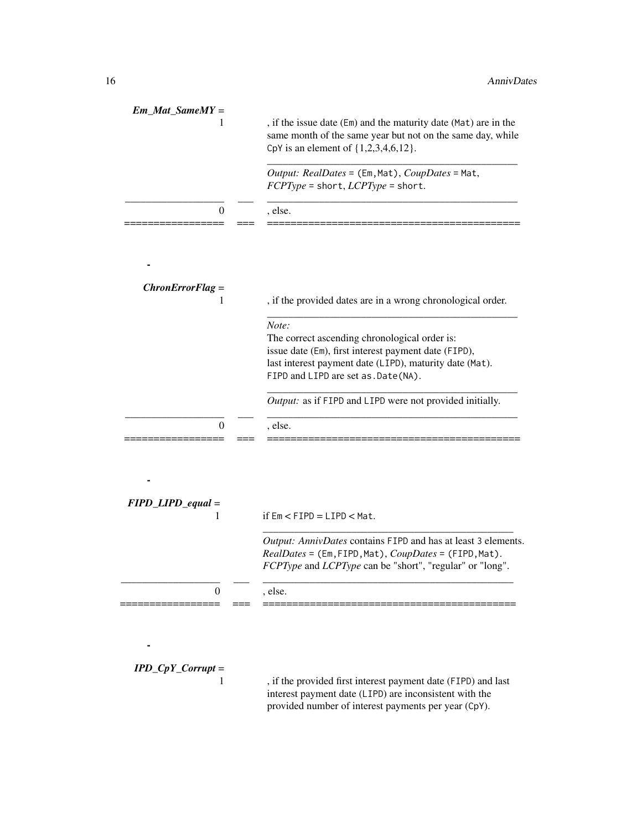| $Em\_Mat\_SameMY =$     | , if the issue date (Em) and the maturity date (Mat) are in the<br>same month of the same year but not on the same day, while<br>CpY is an element of {1,2,3,4,6,12}.                                            |
|-------------------------|------------------------------------------------------------------------------------------------------------------------------------------------------------------------------------------------------------------|
|                         | Output: RealDates = (Em, Mat), CoupDates = Mat,<br>FCPType = short, LCPType = short.                                                                                                                             |
| $\theta$                | , else.                                                                                                                                                                                                          |
|                         |                                                                                                                                                                                                                  |
| $ChronErrorFlag =$<br>1 | , if the provided dates are in a wrong chronological order.                                                                                                                                                      |
|                         | Note:<br>The correct ascending chronological order is:<br>issue date (Em), first interest payment date (FIPD),<br>last interest payment date (LIPD), maturity date (Mat).<br>FIPD and LIPD are set as. Date(NA). |
|                         | Output: as if FIPD and LIPD were not provided initially.                                                                                                                                                         |
| $\Omega$                | , else.                                                                                                                                                                                                          |
| $FIPD$ _LIPD_equal =    |                                                                                                                                                                                                                  |
| 1                       | if $Em < FIPP = LIPP < Mat$ .                                                                                                                                                                                    |
|                         | Output: AnnivDates contains FIPD and has at least 3 elements.<br>RealDates = (Em, FIPD, Mat), CoupDates = (FIPD, Mat).<br>FCPType and LCPType can be "short", "regular" or "long".                               |
| 0                       | , else.                                                                                                                                                                                                          |

*IPD\_CpY\_Corrupt* =

-

, if the provided first interest payment date (FIPD) and last interest payment date (LIPD) are inconsistent with the provided number of interest payments per year (CpY).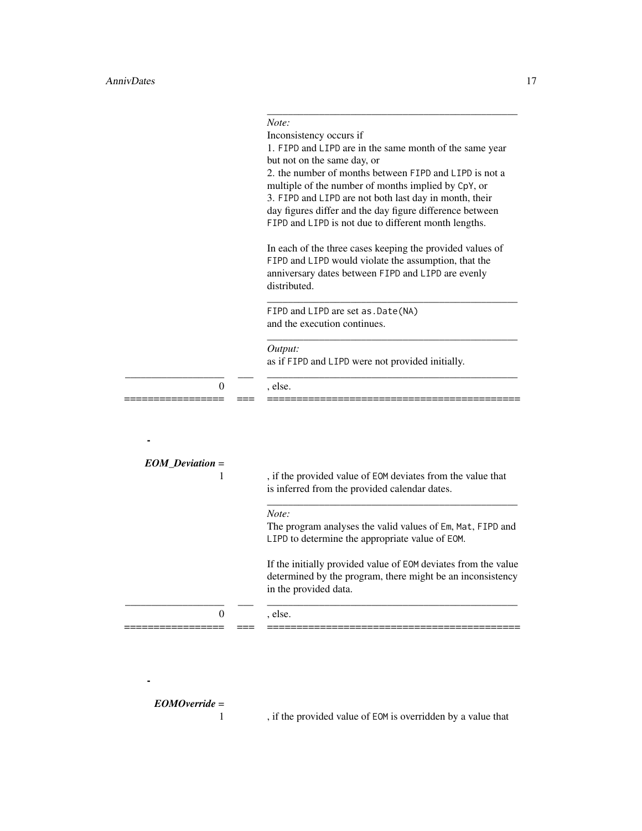|                    | Inconsistency occurs if<br>1. FIPD and LIPD are in the same month of the same year<br>but not on the same day, or<br>2. the number of months between FIPD and LIPD is not a<br>multiple of the number of months implied by CpY, or<br>3. FIPD and LIPD are not both last day in month, their<br>day figures differ and the day figure difference between<br>FIPD and LIPD is not due to different month lengths. |
|--------------------|------------------------------------------------------------------------------------------------------------------------------------------------------------------------------------------------------------------------------------------------------------------------------------------------------------------------------------------------------------------------------------------------------------------|
|                    | In each of the three cases keeping the provided values of<br>FIPD and LIPD would violate the assumption, that the<br>anniversary dates between FIPD and LIPD are evenly<br>distributed.                                                                                                                                                                                                                          |
|                    | FIPD and LIPD are set as . Date (NA)<br>and the execution continues.                                                                                                                                                                                                                                                                                                                                             |
|                    | Output:<br>as if FIPD and LIPD were not provided initially.                                                                                                                                                                                                                                                                                                                                                      |
| 0                  | , else.                                                                                                                                                                                                                                                                                                                                                                                                          |
|                    |                                                                                                                                                                                                                                                                                                                                                                                                                  |
| $EOM\_Deviation =$ |                                                                                                                                                                                                                                                                                                                                                                                                                  |
| 1                  | , if the provided value of EOM deviates from the value that<br>is inferred from the provided calendar dates.                                                                                                                                                                                                                                                                                                     |
|                    | Note:<br>The program analyses the valid values of Em, Mat, FIPD and<br>LIPD to determine the appropriate value of EOM.                                                                                                                                                                                                                                                                                           |
|                    | If the initially provided value of EOM deviates from the value<br>determined by the program, there might be an inconsistency<br>in the provided data.                                                                                                                                                                                                                                                            |
|                    |                                                                                                                                                                                                                                                                                                                                                                                                                  |

*Note:*

*EOMOverride* =

-

, if the provided value of EOM is overridden by a value that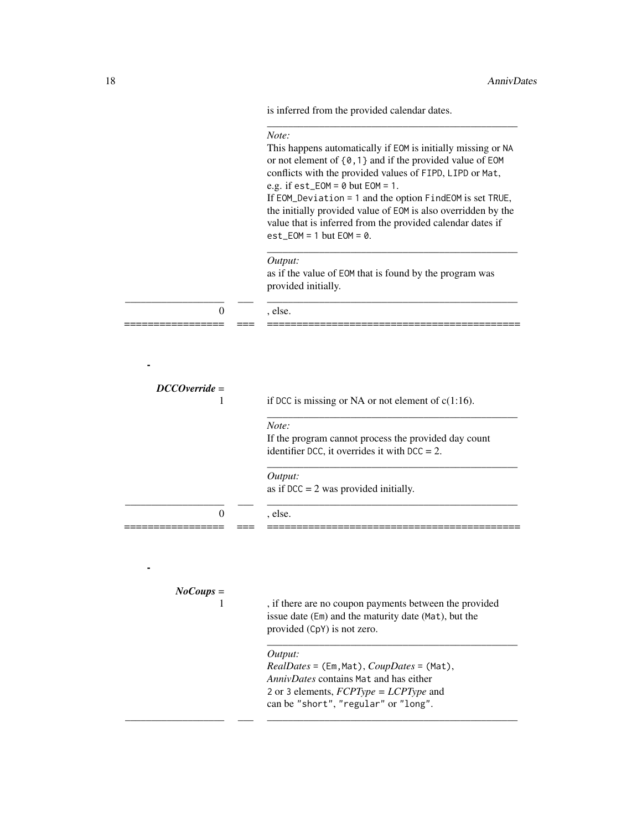is inferred from the provided calendar dates.

|                              | Note:<br>This happens automatically if EOM is initially missing or NA<br>or not element of {0,1} and if the provided value of EOM<br>conflicts with the provided values of FIPD, LIPD or Mat,<br>e.g. if $est\_EOM = 0$ but $EOM = 1$ .<br>If EOM_Deviation = 1 and the option FindEOM is set TRUE,<br>the initially provided value of EOM is also overridden by the<br>value that is inferred from the provided calendar dates if<br>$est\_EOM = 1$ but $EOM = 0$ . |
|------------------------------|----------------------------------------------------------------------------------------------------------------------------------------------------------------------------------------------------------------------------------------------------------------------------------------------------------------------------------------------------------------------------------------------------------------------------------------------------------------------|
|                              | Output:<br>as if the value of EOM that is found by the program was<br>provided initially.                                                                                                                                                                                                                                                                                                                                                                            |
| $\mathbf{0}$                 | , else.                                                                                                                                                                                                                                                                                                                                                                                                                                                              |
|                              |                                                                                                                                                                                                                                                                                                                                                                                                                                                                      |
| $DCCO$ <i>verride</i> =<br>1 | if DCC is missing or NA or not element of $c(1:16)$ .                                                                                                                                                                                                                                                                                                                                                                                                                |
|                              | Note:<br>If the program cannot process the provided day count<br>identifier DCC, it overrides it with DCC = $2$ .                                                                                                                                                                                                                                                                                                                                                    |
|                              | Output:<br>as if $DCC = 2$ was provided initially.                                                                                                                                                                                                                                                                                                                                                                                                                   |
| $\theta$                     | , else.                                                                                                                                                                                                                                                                                                                                                                                                                                                              |
|                              |                                                                                                                                                                                                                                                                                                                                                                                                                                                                      |
| $NoCoups =$                  |                                                                                                                                                                                                                                                                                                                                                                                                                                                                      |
| 1                            | , if there are no coupon payments between the provided<br>issue date (Em) and the maturity date (Mat), but the<br>provided (CpY) is not zero.                                                                                                                                                                                                                                                                                                                        |
|                              | Output:<br>$RealDates = (Em, Mat), CoupDates = (Mat),$<br>AnnivDates contains Mat and has either<br>2 or 3 elements, $FCPType = LCPType$ and<br>can be "short", "regular" or "long".                                                                                                                                                                                                                                                                                 |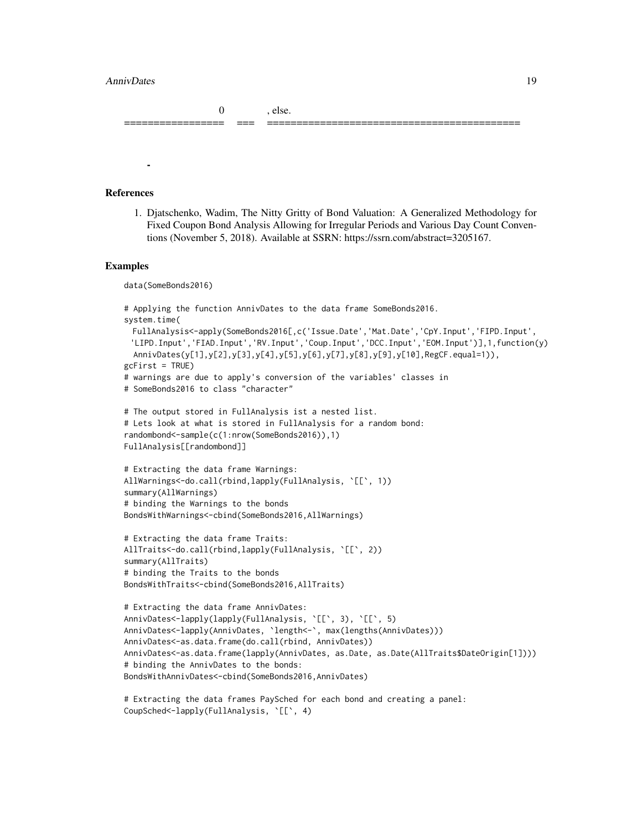#### AnnivDates 2012 19

0 , else.

#### References

-

1. Djatschenko, Wadim, The Nitty Gritty of Bond Valuation: A Generalized Methodology for Fixed Coupon Bond Analysis Allowing for Irregular Periods and Various Day Count Conventions (November 5, 2018). Available at SSRN: https://ssrn.com/abstract=3205167.

================= === ===========================================

#### Examples

```
data(SomeBonds2016)
# Applying the function AnnivDates to the data frame SomeBonds2016.
system.time(
 FullAnalysis<-apply(SomeBonds2016[,c('Issue.Date','Mat.Date','CpY.Input','FIPD.Input',
 'LIPD.Input','FIAD.Input','RV.Input','Coup.Input','DCC.Input','EOM.Input')],1,function(y)
 AnnivDates(y[1],y[2],y[3],y[4],y[5],y[6],y[7],y[8],y[9],y[10],RegCF.equal=1)),
gcFirst = TRUE)
# warnings are due to apply's conversion of the variables' classes in
# SomeBonds2016 to class "character"
# The output stored in FullAnalysis ist a nested list.
# Lets look at what is stored in FullAnalysis for a random bond:
randombond<-sample(c(1:nrow(SomeBonds2016)),1)
FullAnalysis[[randombond]]
# Extracting the data frame Warnings:
AllWarnings<-do.call(rbind,lapply(FullAnalysis, `[[`, 1))
summary(AllWarnings)
# binding the Warnings to the bonds
BondsWithWarnings<-cbind(SomeBonds2016,AllWarnings)
# Extracting the data frame Traits:
AllTraits<-do.call(rbind,lapply(FullAnalysis, `[[`, 2))
summary(AllTraits)
# binding the Traits to the bonds
BondsWithTraits<-cbind(SomeBonds2016,AllTraits)
# Extracting the data frame AnnivDates:
AnnivDates<-lapply(lapply(FullAnalysis, `[[`, 3), `[[`, 5)
AnnivDates<-lapply(AnnivDates, `length<-`, max(lengths(AnnivDates)))
AnnivDates<-as.data.frame(do.call(rbind, AnnivDates))
AnnivDates<-as.data.frame(lapply(AnnivDates, as.Date, as.Date(AllTraits$DateOrigin[1])))
# binding the AnnivDates to the bonds:
BondsWithAnnivDates<-cbind(SomeBonds2016,AnnivDates)
# Extracting the data frames PaySched for each bond and creating a panel:
```

```
CoupSched<-lapply(FullAnalysis, `[[`, 4)
```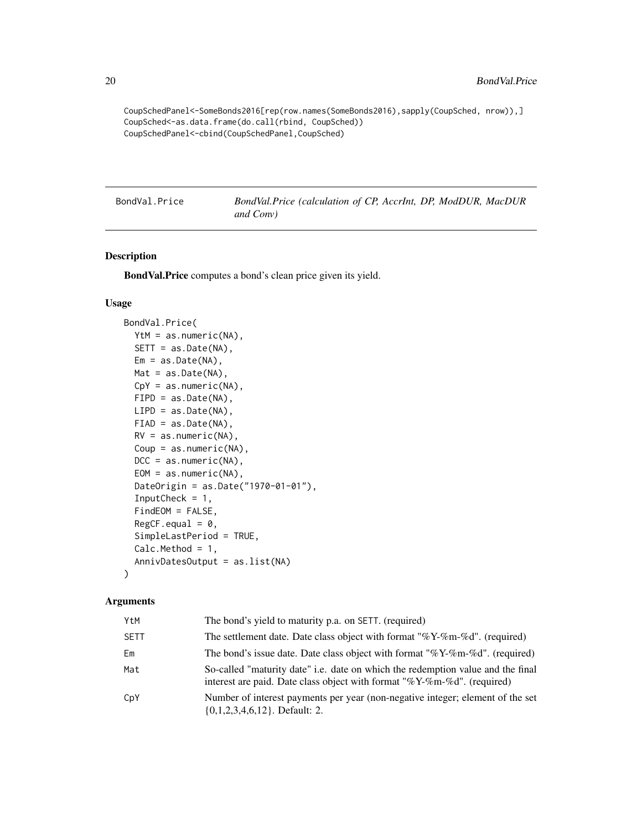```
CoupSchedPanel<-SomeBonds2016[rep(row.names(SomeBonds2016),sapply(CoupSched, nrow)),]
CoupSched<-as.data.frame(do.call(rbind, CoupSched))
CoupSchedPanel<-cbind(CoupSchedPanel,CoupSched)
```
BondVal.Price *BondVal.Price (calculation of CP, AccrInt, DP, ModDUR, MacDUR and Conv)*

#### Description

BondVal.Price computes a bond's clean price given its yield.

#### Usage

```
BondVal.Price(
  YtM = as.numeric(NA),
  SETT = as.Date(NA),
  Em = as.Date(NA),Mat = as.Date(NA),
  CpY = as.numeric(NA),FIPD = as.Date(NA),
 LIPD = as.Date(NA),
  FIAD = as.Date(NA),
 RV = as.numeric(NA),
  Coup = as.numeric(NA),
  DCC = as.numeric(NA),
  EOM = as.numeric(NA),DateOrigin = as.Date("1970-01-01"),
  InputCheck = 1,FindEOM = FALSE,
  RegCF.equals = 0,SimpleLastPeriod = TRUE,
  Calc.Method = 1,
  AnnivDatesOutput = as.list(NA)
\lambda
```
#### Arguments

| YtM         | The bond's yield to maturity p.a. on SETT. (required)                                                                                                          |
|-------------|----------------------------------------------------------------------------------------------------------------------------------------------------------------|
| <b>SETT</b> | The settlement date. Date class object with format "% $Y-\%$ m-%d". (required)                                                                                 |
| Em          | The bond's issue date. Date class object with format " $\%$ Y- $\%$ m- $\%$ d". (required)                                                                     |
| Mat         | So-called "maturity date" i.e. date on which the redemption value and the final<br>interest are paid. Date class object with format "% $Y$ -%m-%d". (required) |
| CpY         | Number of interest payments per year (non-negative integer; element of the set<br>$\{0,1,2,3,4,6,12\}$ . Default: 2.                                           |

<span id="page-19-0"></span>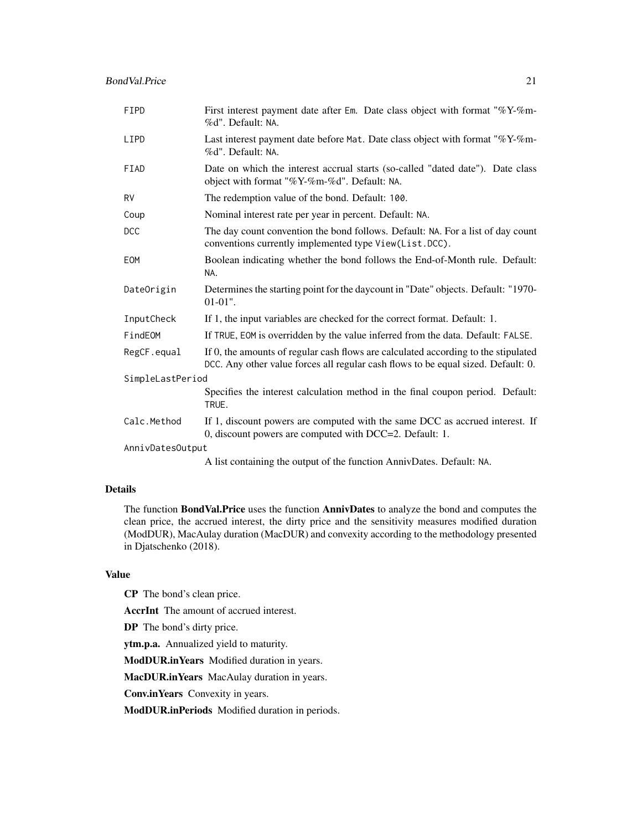| FIPD             | First interest payment date after Em. Date class object with format "%Y-%m-<br>%d". Default: NA.                                                                        |  |
|------------------|-------------------------------------------------------------------------------------------------------------------------------------------------------------------------|--|
| LIPD             | Last interest payment date before Mat. Date class object with format " $\%$ Y- $\%$ m-<br>%d". Default: NA.                                                             |  |
| FIAD             | Date on which the interest accrual starts (so-called "dated date"). Date class<br>object with format "%Y-%m-%d". Default: NA.                                           |  |
| <b>RV</b>        | The redemption value of the bond. Default: 100.                                                                                                                         |  |
| Coup             | Nominal interest rate per year in percent. Default: NA.                                                                                                                 |  |
| <b>DCC</b>       | The day count convention the bond follows. Default: NA. For a list of day count<br>conventions currently implemented type View(List.DCC).                               |  |
| EOM              | Boolean indicating whether the bond follows the End-of-Month rule. Default:<br>NA.                                                                                      |  |
| DateOrigin       | Determines the starting point for the daycount in "Date" objects. Default: "1970-<br>$01-01$ ".                                                                         |  |
| InputCheck       | If 1, the input variables are checked for the correct format. Default: 1.                                                                                               |  |
| FindEOM          | If TRUE, EOM is overridden by the value inferred from the data. Default: FALSE.                                                                                         |  |
| RegCF.equal      | If 0, the amounts of regular cash flows are calculated according to the stipulated<br>DCC. Any other value forces all regular cash flows to be equal sized. Default: 0. |  |
| SimpleLastPeriod |                                                                                                                                                                         |  |
|                  | Specifies the interest calculation method in the final coupon period. Default:<br>TRUE.                                                                                 |  |
| Calc.Method      | If 1, discount powers are computed with the same DCC as accrued interest. If<br>0, discount powers are computed with DCC=2. Default: 1.                                 |  |
| AnnivDatesOutput |                                                                                                                                                                         |  |

A list containing the output of the function AnnivDates. Default: NA.

## Details

The function BondVal.Price uses the function AnnivDates to analyze the bond and computes the clean price, the accrued interest, the dirty price and the sensitivity measures modified duration (ModDUR), MacAulay duration (MacDUR) and convexity according to the methodology presented in Djatschenko (2018).

#### Value

CP The bond's clean price.

AccrInt The amount of accrued interest.

DP The bond's dirty price.

ytm.p.a. Annualized yield to maturity.

ModDUR.inYears Modified duration in years.

MacDUR.inYears MacAulay duration in years.

Conv.inYears Convexity in years.

ModDUR.inPeriods Modified duration in periods.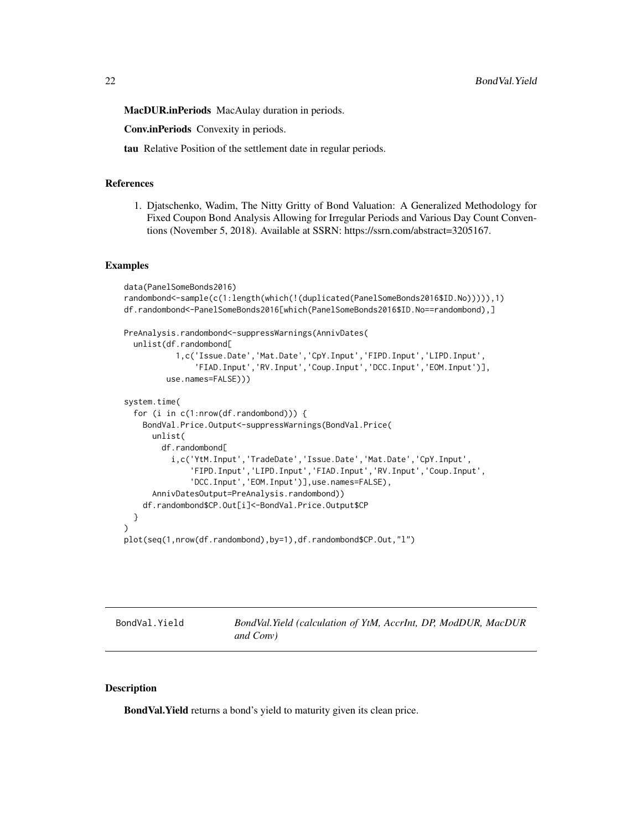<span id="page-21-0"></span>MacDUR.inPeriods MacAulay duration in periods.

Conv.inPeriods Convexity in periods.

tau Relative Position of the settlement date in regular periods.

#### References

1. Djatschenko, Wadim, The Nitty Gritty of Bond Valuation: A Generalized Methodology for Fixed Coupon Bond Analysis Allowing for Irregular Periods and Various Day Count Conventions (November 5, 2018). Available at SSRN: https://ssrn.com/abstract=3205167.

#### Examples

```
data(PanelSomeBonds2016)
randombond<-sample(c(1:length(which(!(duplicated(PanelSomeBonds2016$ID.No))))),1)
df.randombond<-PanelSomeBonds2016[which(PanelSomeBonds2016$ID.No==randombond),]
PreAnalysis.randombond<-suppressWarnings(AnnivDates(
 unlist(df.randombond[
           1,c('Issue.Date','Mat.Date','CpY.Input','FIPD.Input','LIPD.Input',
               'FIAD.Input','RV.Input','Coup.Input','DCC.Input','EOM.Input')],
         use.names=FALSE)))
system.time(
 for (i in c(1:nrow(df.randombond))) {
   BondVal.Price.Output<-suppressWarnings(BondVal.Price(
      unlist(
        df.randombond[
          i,c('YtM.Input','TradeDate','Issue.Date','Mat.Date','CpY.Input',
              'FIPD.Input','LIPD.Input','FIAD.Input','RV.Input','Coup.Input',
              'DCC.Input','EOM.Input')],use.names=FALSE),
     AnnivDatesOutput=PreAnalysis.randombond))
    df.randombond$CP.Out[i]<-BondVal.Price.Output$CP
 }
)
plot(seq(1,nrow(df.randombond),by=1),df.randombond$CP.Out,"l")
```
BondVal.Yield *BondVal.Yield (calculation of YtM, AccrInt, DP, ModDUR, MacDUR and Conv)*

#### **Description**

BondVal.Yield returns a bond's yield to maturity given its clean price.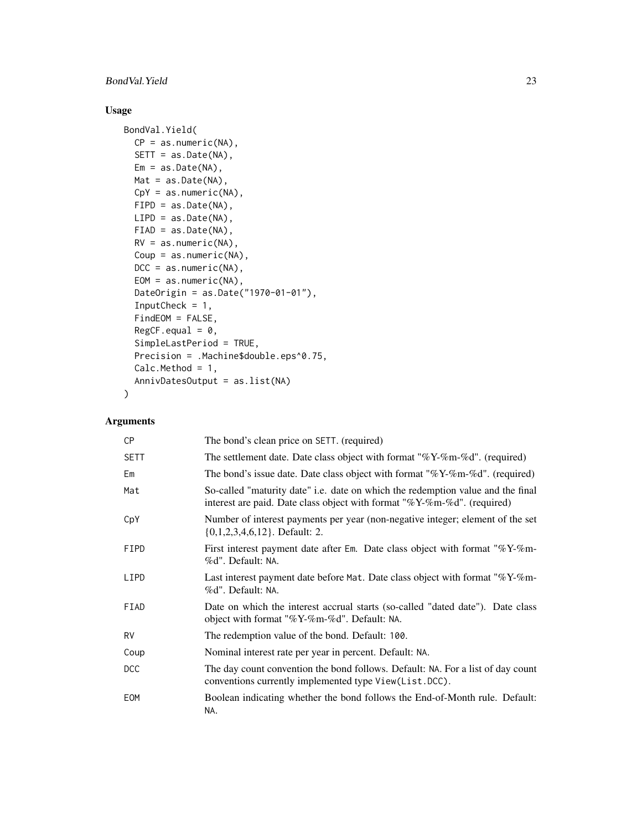## BondVal.Yield 23

## Usage

```
BondVal.Yield(
  CP = as.numeric(NA),SETT = as.Date(NA),
 Em = as.Date(NA),Mat = as.Date(NA),
 CpY = as.numeric(NA),FIPD = as.Date(NA),
 LIPD = as.Date(NA),
 FIAD = as.Date(NA),
 RV = as.numeric(NA),
 Coup = as.numeric(NA),
 DCC = as.numeric(NA),EOM = as.numeric(NA),
  DateOrigin = as.Date("1970-01-01"),
  InputCheck = 1,
  FindEOM = FALSE,
  RegCF.equals = 0,SimpleLastPeriod = TRUE,
 Precision = .Machine$double.eps^0.75,
  Calc.Method = 1,AnnivDatesOutput = as.list(NA)
\mathcal{L}
```
## Arguments

| CP          | The bond's clean price on SETT. (required)                                                                                                                     |
|-------------|----------------------------------------------------------------------------------------------------------------------------------------------------------------|
| <b>SETT</b> | The settlement date. Date class object with format " $\%$ Y- $\%$ m- $\%$ d". (required)                                                                       |
| Em          | The bond's issue date. Date class object with format " $\%$ Y- $\%$ m- $\%$ d". (required)                                                                     |
| Mat         | So-called "maturity date" i.e. date on which the redemption value and the final<br>interest are paid. Date class object with format "% $Y$ -%m-%d". (required) |
| CpY         | Number of interest payments per year (non-negative integer; element of the set<br>$\{0,1,2,3,4,6,12\}$ . Default: 2.                                           |
| FIPD        | First interest payment date after Em. Date class object with format " $\%$ Y- $\%$ m-<br>%d". Default: NA.                                                     |
| LIPD        | Last interest payment date before Mat. Date class object with format " $\%$ Y- $\%$ m-<br>%d". Default: NA.                                                    |
| FIAD        | Date on which the interest accrual starts (so-called "dated date"). Date class<br>object with format "%Y-%m-%d". Default: NA.                                  |
| <b>RV</b>   | The redemption value of the bond. Default: 100.                                                                                                                |
| Coup        | Nominal interest rate per year in percent. Default: NA.                                                                                                        |
| <b>DCC</b>  | The day count convention the bond follows. Default: NA. For a list of day count<br>conventions currently implemented type View(List.DCC).                      |
| EOM         | Boolean indicating whether the bond follows the End-of-Month rule. Default:<br>NA.                                                                             |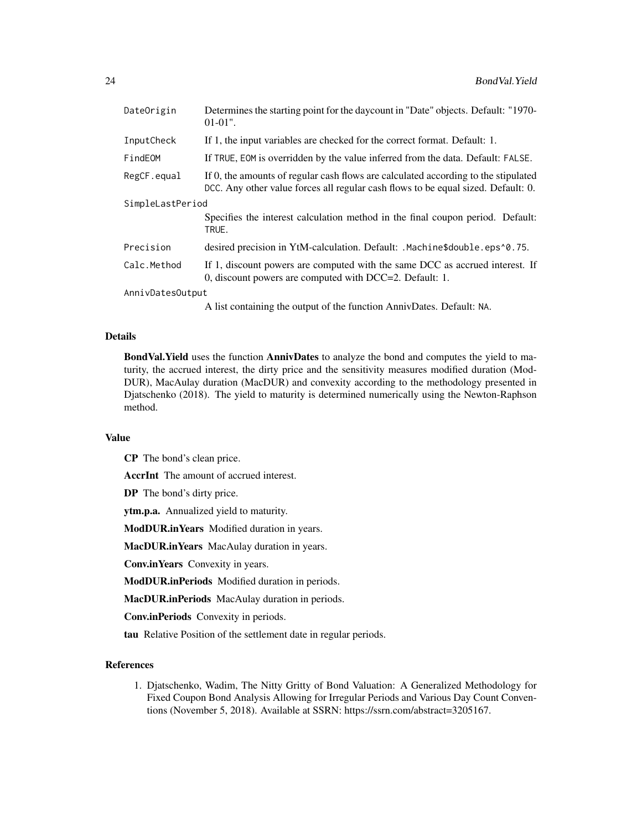| DateOrigin       | Determines the starting point for the daycount in "Date" objects. Default: "1970-<br>$01-01$ ".                                                                         |  |
|------------------|-------------------------------------------------------------------------------------------------------------------------------------------------------------------------|--|
| InputCheck       | If 1, the input variables are checked for the correct format. Default: 1.                                                                                               |  |
| FindEOM          | If TRUE, EOM is overridden by the value inferred from the data. Default: FALSE.                                                                                         |  |
| RegCF.equal      | If 0, the amounts of regular cash flows are calculated according to the stipulated<br>DCC. Any other value forces all regular cash flows to be equal sized. Default: 0. |  |
| SimpleLastPeriod |                                                                                                                                                                         |  |
|                  | Specifies the interest calculation method in the final coupon period. Default:<br>TRUE.                                                                                 |  |
| Precision        | desired precision in YtM-calculation. Default: .Machine\$double.eps^0.75.                                                                                               |  |
| Calc.Method      | If 1, discount powers are computed with the same DCC as accrued interest. If<br>0, discount powers are computed with DCC=2. Default: 1.                                 |  |
| AnnivDatesOutput |                                                                                                                                                                         |  |
|                  | A list containing the output of the function AnnivDates. Default: NA.                                                                                                   |  |

#### Details

BondVal.Yield uses the function AnnivDates to analyze the bond and computes the yield to maturity, the accrued interest, the dirty price and the sensitivity measures modified duration (Mod-DUR), MacAulay duration (MacDUR) and convexity according to the methodology presented in Djatschenko (2018). The yield to maturity is determined numerically using the Newton-Raphson method.

#### Value

CP The bond's clean price.

AccrInt The amount of accrued interest.

DP The bond's dirty price.

ytm.p.a. Annualized yield to maturity.

ModDUR.inYears Modified duration in years.

MacDUR.inYears MacAulay duration in years.

Conv.inYears Convexity in years.

ModDUR.inPeriods Modified duration in periods.

MacDUR.inPeriods MacAulay duration in periods.

Conv.inPeriods Convexity in periods.

tau Relative Position of the settlement date in regular periods.

#### References

1. Djatschenko, Wadim, The Nitty Gritty of Bond Valuation: A Generalized Methodology for Fixed Coupon Bond Analysis Allowing for Irregular Periods and Various Day Count Conventions (November 5, 2018). Available at SSRN: https://ssrn.com/abstract=3205167.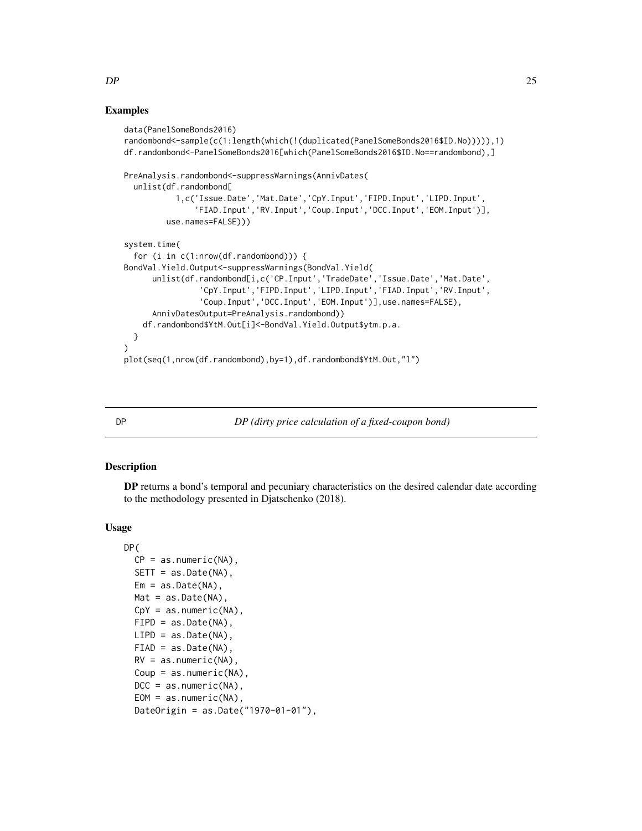#### Examples

```
data(PanelSomeBonds2016)
randombond<-sample(c(1:length(which(!(duplicated(PanelSomeBonds2016$ID.No))))),1)
df.randombond<-PanelSomeBonds2016[which(PanelSomeBonds2016$ID.No==randombond),]
PreAnalysis.randombond<-suppressWarnings(AnnivDates(
 unlist(df.randombond[
           1,c('Issue.Date','Mat.Date','CpY.Input','FIPD.Input','LIPD.Input',
               'FIAD.Input','RV.Input','Coup.Input','DCC.Input','EOM.Input')],
        use.names=FALSE)))
system.time(
 for (i in c(1:nrow(df.randombond))) {
BondVal.Yield.Output<-suppressWarnings(BondVal.Yield(
     unlist(df.randombond[i,c('CP.Input','TradeDate','Issue.Date','Mat.Date',
                'CpY.Input','FIPD.Input','LIPD.Input','FIAD.Input','RV.Input',
                'Coup.Input','DCC.Input','EOM.Input')],use.names=FALSE),
     AnnivDatesOutput=PreAnalysis.randombond))
    df.randombond$YtM.Out[i]<-BondVal.Yield.Output$ytm.p.a.
 }
)
plot(seq(1,nrow(df.randombond),by=1),df.randombond$YtM.Out,"l")
```
#### DP *DP (dirty price calculation of a fixed-coupon bond)*

#### Description

DP returns a bond's temporal and pecuniary characteristics on the desired calendar date according to the methodology presented in Djatschenko (2018).

#### Usage

```
DP(
 CP = as.numeric(NA),SETT = as.Date(NA),
 Em = as.Date(NA),Mat = as.Date(NA),CpY = as.numeric(NA),FIPD = as.Date(NA),
 LIPD = as.Date(NA),
 FIAD = as.Date(NA),
 RV = as.numeric(NA),
 Coup = as.numeric(NA),
 DCC = as.numeric(NA),EOM = as.numeric(NA),
 DateOrigin = as.Date("1970-01-01"),
```
<span id="page-24-0"></span> $DP$  25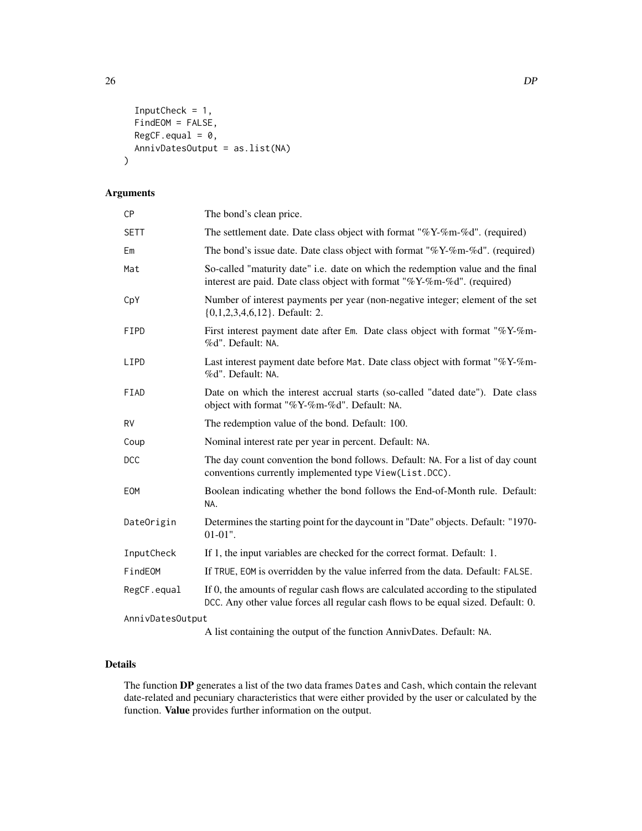```
InputCheck = 1,
  FindEOM = FALSE,
 RegCF.equals = 0,AnnivDatesOutput = as.list(NA)
)
```
## Arguments

| <b>CP</b>        | The bond's clean price.                                                                                                                                                 |  |
|------------------|-------------------------------------------------------------------------------------------------------------------------------------------------------------------------|--|
| <b>SETT</b>      | The settlement date. Date class object with format "% $Y$ -%m-%d". (required)                                                                                           |  |
| Em               | The bond's issue date. Date class object with format "%Y-%m-%d". (required)                                                                                             |  |
| Mat              | So-called "maturity date" i.e. date on which the redemption value and the final<br>interest are paid. Date class object with format "%Y-%m-%d". (required)              |  |
| CpY              | Number of interest payments per year (non-negative integer; element of the set<br>$\{0,1,2,3,4,6,12\}$ . Default: 2.                                                    |  |
| <b>FIPD</b>      | First interest payment date after Em. Date class object with format "%Y-%m-<br>%d". Default: NA.                                                                        |  |
| LIPD             | Last interest payment date before Mat. Date class object with format "%Y-%m-<br>%d". Default: NA.                                                                       |  |
| FIAD             | Date on which the interest accrual starts (so-called "dated date"). Date class<br>object with format "%Y-%m-%d". Default: NA.                                           |  |
| <b>RV</b>        | The redemption value of the bond. Default: 100.                                                                                                                         |  |
| Coup             | Nominal interest rate per year in percent. Default: NA.                                                                                                                 |  |
| <b>DCC</b>       | The day count convention the bond follows. Default: NA. For a list of day count<br>conventions currently implemented type View(List.DCC).                               |  |
| EOM              | Boolean indicating whether the bond follows the End-of-Month rule. Default:<br>NA.                                                                                      |  |
| DateOrigin       | Determines the starting point for the daycount in "Date" objects. Default: "1970-<br>$01-01$ ".                                                                         |  |
| InputCheck       | If 1, the input variables are checked for the correct format. Default: 1.                                                                                               |  |
| FindEOM          | If TRUE, EOM is overridden by the value inferred from the data. Default: FALSE.                                                                                         |  |
| RegCF.equal      | If 0, the amounts of regular cash flows are calculated according to the stipulated<br>DCC. Any other value forces all regular cash flows to be equal sized. Default: 0. |  |
| AnnivDatesOutput |                                                                                                                                                                         |  |
|                  |                                                                                                                                                                         |  |

A list containing the output of the function AnnivDates. Default: NA.

## Details

The function DP generates a list of the two data frames Dates and Cash, which contain the relevant date-related and pecuniary characteristics that were either provided by the user or calculated by the function. Value provides further information on the output.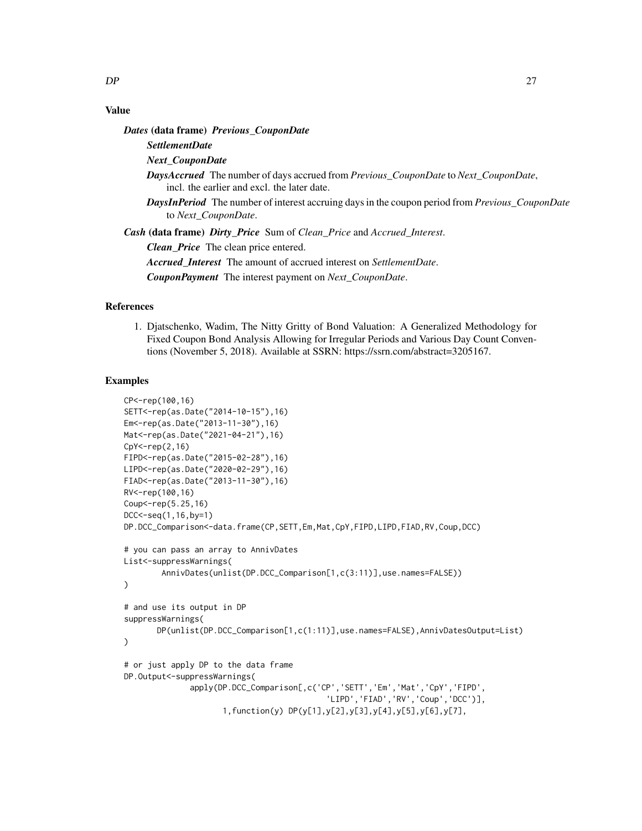## Value

*Dates* (data frame) *Previous\_CouponDate*

```
SettlementDate
Next_CouponDate
DaysAccrued The number of days accrued from Previous_CouponDate to Next_CouponDate,
    incl. the earlier and excl. the later date.
```
*DaysInPeriod* The number of interest accruing days in the coupon period from *Previous\_CouponDate* to *Next\_CouponDate*.

*Cash* (data frame) *Dirty\_Price* Sum of *Clean\_Price* and *Accrued\_Interest*.

*Clean\_Price* The clean price entered.

*Accrued\_Interest* The amount of accrued interest on *SettlementDate*.

*CouponPayment* The interest payment on *Next\_CouponDate*.

#### References

1. Djatschenko, Wadim, The Nitty Gritty of Bond Valuation: A Generalized Methodology for Fixed Coupon Bond Analysis Allowing for Irregular Periods and Various Day Count Conventions (November 5, 2018). Available at SSRN: https://ssrn.com/abstract=3205167.

## Examples

```
CP<-rep(100,16)
SETT<-rep(as.Date("2014-10-15"),16)
Em<-rep(as.Date("2013-11-30"),16)
Mat<-rep(as.Date("2021-04-21"),16)
CpY<-rep(2,16)
FIPD<-rep(as.Date("2015-02-28"),16)
LIPD<-rep(as.Date("2020-02-29"),16)
FIAD<-rep(as.Date("2013-11-30"),16)
RV<-rep(100,16)
Coup <- rep(5.25,16)
DCC<-seq(1,16,by=1)
DP.DCC_Comparison<-data.frame(CP,SETT,Em,Mat,CpY,FIPD,LIPD,FIAD,RV,Coup,DCC)
# you can pass an array to AnnivDates
List<-suppressWarnings(
        AnnivDates(unlist(DP.DCC_Comparison[1,c(3:11)],use.names=FALSE))
)
# and use its output in DP
suppressWarnings(
       DP(unlist(DP.DCC_Comparison[1,c(1:11)],use.names=FALSE),AnnivDatesOutput=List)
)
# or just apply DP to the data frame
DP.Output<-suppressWarnings(
              apply(DP.DCC_Comparison[,c('CP','SETT','Em','Mat','CpY','FIPD',
                                            'LIPD','FIAD','RV','Coup','DCC')],
                     1,function(y) DP(y[1],y[2],y[3],y[4],y[5],y[6],y[7],
```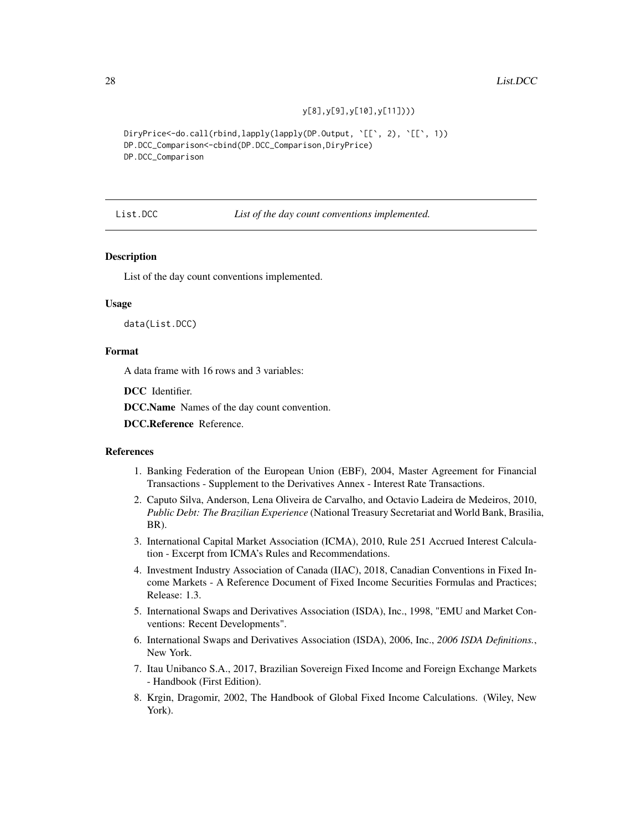y[8],y[9],y[10],y[11])))

<span id="page-27-0"></span>DiryPrice<-do.call(rbind,lapply(lapply(DP.Output, `[[`, 2), `[[`, 1)) DP.DCC\_Comparison<-cbind(DP.DCC\_Comparison,DiryPrice) DP.DCC\_Comparison

List.DCC *List of the day count conventions implemented.*

#### Description

List of the day count conventions implemented.

#### Usage

data(List.DCC)

#### Format

A data frame with 16 rows and 3 variables:

DCC Identifier.

DCC.Name Names of the day count convention.

DCC.Reference Reference.

#### References

- 1. Banking Federation of the European Union (EBF), 2004, Master Agreement for Financial Transactions - Supplement to the Derivatives Annex - Interest Rate Transactions.
- 2. Caputo Silva, Anderson, Lena Oliveira de Carvalho, and Octavio Ladeira de Medeiros, 2010, *Public Debt: The Brazilian Experience* (National Treasury Secretariat and World Bank, Brasilia, BR).
- 3. International Capital Market Association (ICMA), 2010, Rule 251 Accrued Interest Calculation - Excerpt from ICMA's Rules and Recommendations.
- 4. Investment Industry Association of Canada (IIAC), 2018, Canadian Conventions in Fixed Income Markets - A Reference Document of Fixed Income Securities Formulas and Practices; Release: 1.3.
- 5. International Swaps and Derivatives Association (ISDA), Inc., 1998, "EMU and Market Conventions: Recent Developments".
- 6. International Swaps and Derivatives Association (ISDA), 2006, Inc., *2006 ISDA Definitions.*, New York.
- 7. Itau Unibanco S.A., 2017, Brazilian Sovereign Fixed Income and Foreign Exchange Markets - Handbook (First Edition).
- 8. Krgin, Dragomir, 2002, The Handbook of Global Fixed Income Calculations. (Wiley, New York).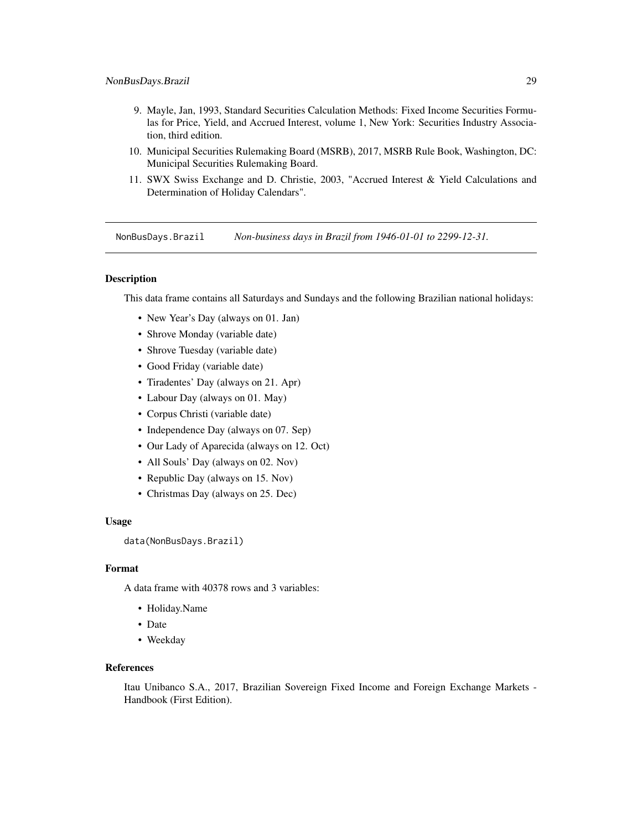- <span id="page-28-0"></span>9. Mayle, Jan, 1993, Standard Securities Calculation Methods: Fixed Income Securities Formulas for Price, Yield, and Accrued Interest, volume 1, New York: Securities Industry Association, third edition.
- 10. Municipal Securities Rulemaking Board (MSRB), 2017, MSRB Rule Book, Washington, DC: Municipal Securities Rulemaking Board.
- 11. SWX Swiss Exchange and D. Christie, 2003, "Accrued Interest & Yield Calculations and Determination of Holiday Calendars".

NonBusDays.Brazil *Non-business days in Brazil from 1946-01-01 to 2299-12-31.*

#### Description

This data frame contains all Saturdays and Sundays and the following Brazilian national holidays:

- New Year's Day (always on 01. Jan)
- Shrove Monday (variable date)
- Shrove Tuesday (variable date)
- Good Friday (variable date)
- Tiradentes' Day (always on 21. Apr)
- Labour Day (always on 01. May)
- Corpus Christi (variable date)
- Independence Day (always on 07. Sep)
- Our Lady of Aparecida (always on 12. Oct)
- All Souls' Day (always on 02. Nov)
- Republic Day (always on 15. Nov)
- Christmas Day (always on 25. Dec)

#### Usage

data(NonBusDays.Brazil)

#### Format

A data frame with 40378 rows and 3 variables:

- Holiday.Name
- Date
- Weekday

#### References

Itau Unibanco S.A., 2017, Brazilian Sovereign Fixed Income and Foreign Exchange Markets - Handbook (First Edition).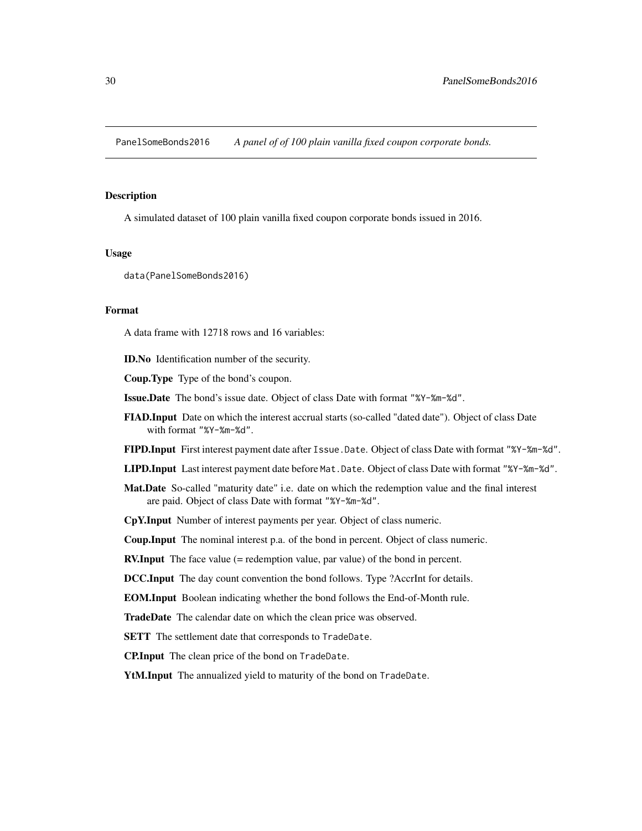<span id="page-29-0"></span>PanelSomeBonds2016 *A panel of of 100 plain vanilla fixed coupon corporate bonds.*

#### **Description**

A simulated dataset of 100 plain vanilla fixed coupon corporate bonds issued in 2016.

#### Usage

data(PanelSomeBonds2016)

#### Format

A data frame with 12718 rows and 16 variables:

ID.No Identification number of the security.

Coup.Type Type of the bond's coupon.

Issue.Date The bond's issue date. Object of class Date with format "%Y-%m-%d".

FIAD.Input Date on which the interest accrual starts (so-called "dated date"). Object of class Date with format "%Y-%m-%d".

FIPD.Input First interest payment date after Issue.Date. Object of class Date with format "%Y-%m-%d".

- LIPD.Input Last interest payment date before Mat.Date. Object of class Date with format "%Y-%m-%d".
- Mat.Date So-called "maturity date" i.e. date on which the redemption value and the final interest are paid. Object of class Date with format "%Y-%m-%d".

CpY.Input Number of interest payments per year. Object of class numeric.

Coup.Input The nominal interest p.a. of the bond in percent. Object of class numeric.

RV.Input The face value (= redemption value, par value) of the bond in percent.

DCC.Input The day count convention the bond follows. Type ?AccrInt for details.

EOM.Input Boolean indicating whether the bond follows the End-of-Month rule.

TradeDate The calendar date on which the clean price was observed.

SETT The settlement date that corresponds to TradeDate.

CP.Input The clean price of the bond on TradeDate.

YtM.Input The annualized yield to maturity of the bond on TradeDate.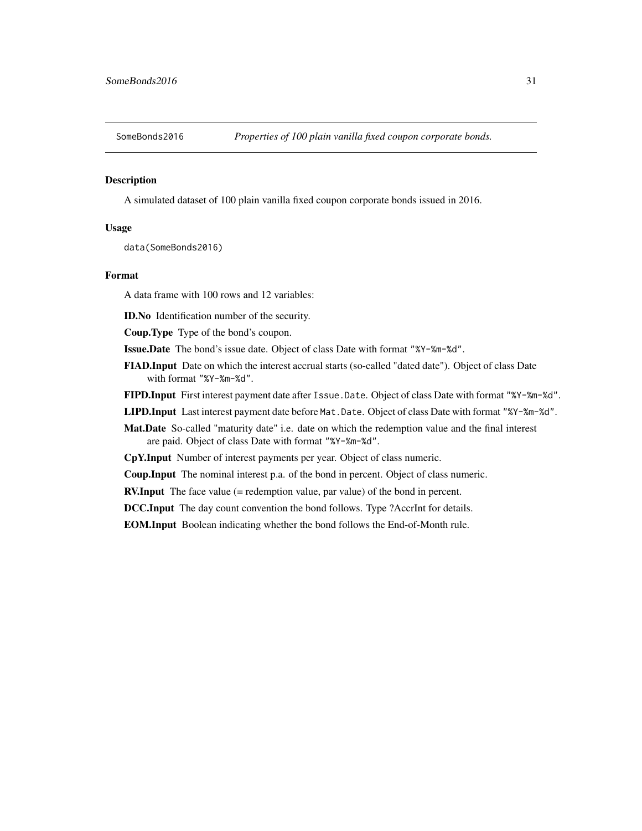<span id="page-30-0"></span>

#### Description

A simulated dataset of 100 plain vanilla fixed coupon corporate bonds issued in 2016.

#### Usage

data(SomeBonds2016)

#### Format

A data frame with 100 rows and 12 variables:

ID.No Identification number of the security.

Coup.Type Type of the bond's coupon.

Issue.Date The bond's issue date. Object of class Date with format "%Y-%m-%d".

- FIAD.Input Date on which the interest accrual starts (so-called "dated date"). Object of class Date with format "%Y-%m-%d".
- FIPD.Input First interest payment date after Issue.Date. Object of class Date with format "%Y-%m-%d".
- LIPD.Input Last interest payment date before Mat.Date. Object of class Date with format "%Y-%m-%d".
- Mat.Date So-called "maturity date" i.e. date on which the redemption value and the final interest are paid. Object of class Date with format "%Y-%m-%d".

CpY.Input Number of interest payments per year. Object of class numeric.

Coup.Input The nominal interest p.a. of the bond in percent. Object of class numeric.

**RV.Input** The face value (= redemption value, par value) of the bond in percent.

DCC.Input The day count convention the bond follows. Type ?AccrInt for details.

EOM.Input Boolean indicating whether the bond follows the End-of-Month rule.